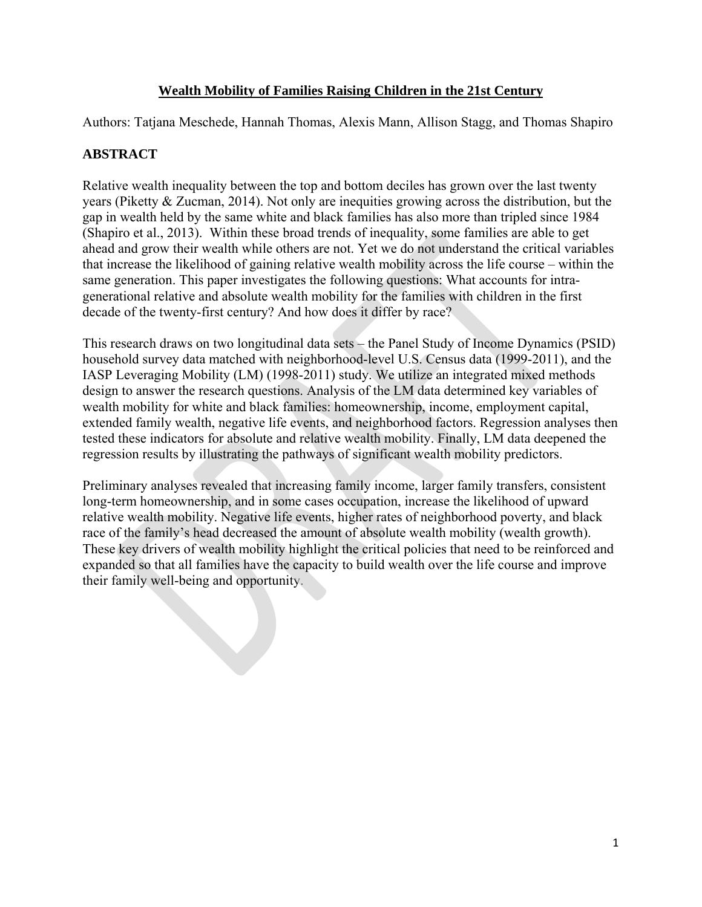# **Wealth Mobility of Families Raising Children in the 21st Century**

Authors: Tatjana Meschede, Hannah Thomas, Alexis Mann, Allison Stagg, and Thomas Shapiro

# **ABSTRACT**

Relative wealth inequality between the top and bottom deciles has grown over the last twenty years (Piketty & Zucman, 2014). Not only are inequities growing across the distribution, but the gap in wealth held by the same white and black families has also more than tripled since 1984 (Shapiro et al., 2013). Within these broad trends of inequality, some families are able to get ahead and grow their wealth while others are not. Yet we do not understand the critical variables that increase the likelihood of gaining relative wealth mobility across the life course – within the same generation. This paper investigates the following questions: What accounts for intragenerational relative and absolute wealth mobility for the families with children in the first decade of the twenty-first century? And how does it differ by race?

This research draws on two longitudinal data sets – the Panel Study of Income Dynamics (PSID) household survey data matched with neighborhood-level U.S. Census data (1999-2011), and the IASP Leveraging Mobility (LM) (1998-2011) study. We utilize an integrated mixed methods design to answer the research questions. Analysis of the LM data determined key variables of wealth mobility for white and black families: homeownership, income, employment capital, extended family wealth, negative life events, and neighborhood factors. Regression analyses then tested these indicators for absolute and relative wealth mobility. Finally, LM data deepened the regression results by illustrating the pathways of significant wealth mobility predictors.

their family well-being and opportunity. Preliminary analyses revealed that increasing family income, larger family transfers, consistent long-term homeownership, and in some cases occupation, increase the likelihood of upward relative wealth mobility. Negative life events, higher rates of neighborhood poverty, and black race of the family's head decreased the amount of absolute wealth mobility (wealth growth). These key drivers of wealth mobility highlight the critical policies that need to be reinforced and expanded so that all families have the capacity to build wealth over the life course and improve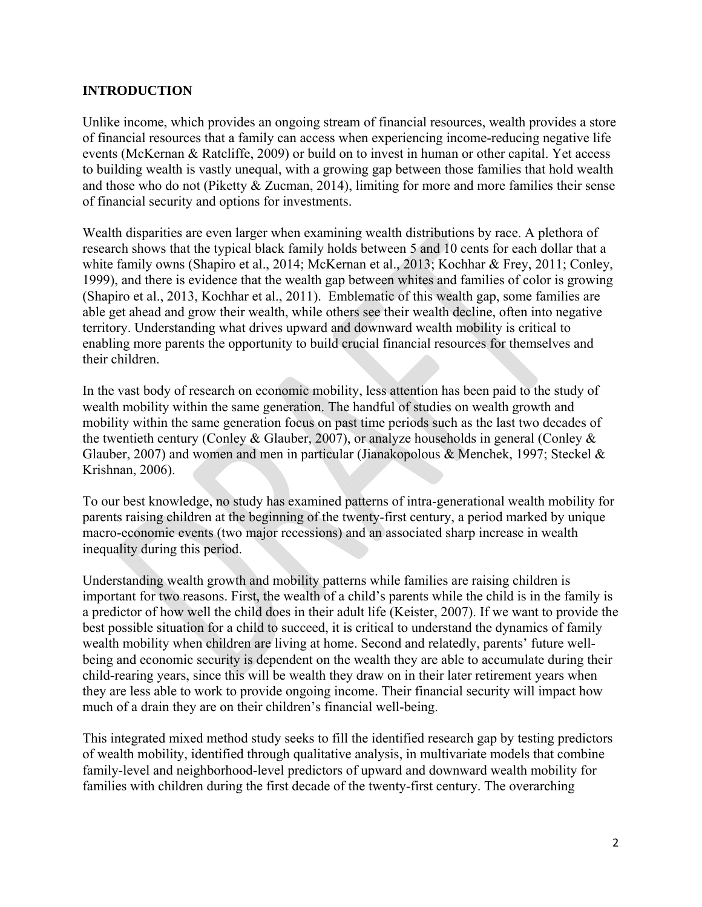# **INTRODUCTION**

Unlike income, which provides an ongoing stream of financial resources, wealth provides a store of financial resources that a family can access when experiencing income-reducing negative life events (McKernan & Ratcliffe, 2009) or build on to invest in human or other capital. Yet access to building wealth is vastly unequal, with a growing gap between those families that hold wealth and those who do not (Piketty & Zucman, 2014), limiting for more and more families their sense of financial security and options for investments.

Wealth disparities are even larger when examining wealth distributions by race. A plethora of research shows that the typical black family holds between 5 and 10 cents for each dollar that a white family owns (Shapiro et al., 2014; McKernan et al., 2013; Kochhar & Frey, 2011; Conley, 1999), and there is evidence that the wealth gap between whites and families of color is growing (Shapiro et al., 2013, Kochhar et al., 2011). Emblematic of this wealth gap, some families are able get ahead and grow their wealth, while others see their wealth decline, often into negative territory. Understanding what drives upward and downward wealth mobility is critical to enabling more parents the opportunity to build crucial financial resources for themselves and their children.

In the vast body of research on economic mobility, less attention has been paid to the study of wealth mobility within the same generation. The handful of studies on wealth growth and mobility within the same generation focus on past time periods such as the last two decades of the twentieth century (Conley & Glauber, 2007), or analyze households in general (Conley & Glauber, 2007) and women and men in particular (Jianakopolous & Menchek, 1997; Steckel & Krishnan, 2006).

To our best knowledge, no study has examined patterns of intra-generational wealth mobility for parents raising children at the beginning of the twenty-first century, a period marked by unique macro-economic events (two major recessions) and an associated sharp increase in wealth inequality during this period.

Understanding wealth growth and mobility patterns while families are raising children is important for two reasons. First, the wealth of a child's parents while the child is in the family is a predictor of how well the child does in their adult life (Keister, 2007). If we want to provide the best possible situation for a child to succeed, it is critical to understand the dynamics of family wealth mobility when children are living at home. Second and relatedly, parents' future wellbeing and economic security is dependent on the wealth they are able to accumulate during their child-rearing years, since this will be wealth they draw on in their later retirement years when they are less able to work to provide ongoing income. Their financial security will impact how much of a drain they are on their children's financial well-being.

This integrated mixed method study seeks to fill the identified research gap by testing predictors of wealth mobility, identified through qualitative analysis, in multivariate models that combine family-level and neighborhood-level predictors of upward and downward wealth mobility for families with children during the first decade of the twenty-first century. The overarching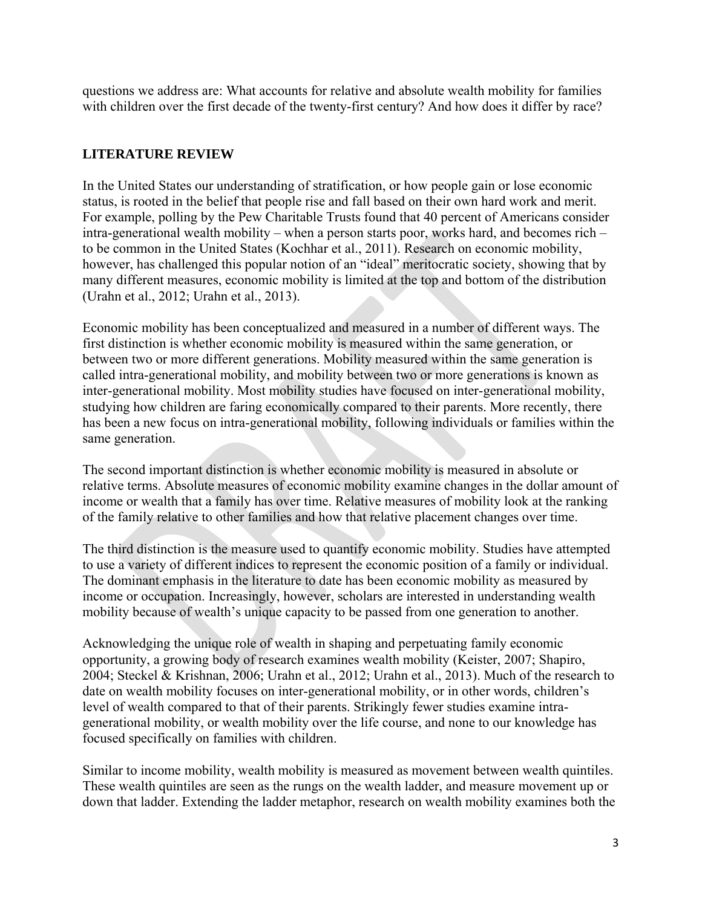questions we address are: What accounts for relative and absolute wealth mobility for families with children over the first decade of the twenty-first century? And how does it differ by race?

# **LITERATURE REVIEW**

In the United States our understanding of stratification, or how people gain or lose economic status, is rooted in the belief that people rise and fall based on their own hard work and merit. For example, polling by the Pew Charitable Trusts found that 40 percent of Americans consider intra-generational wealth mobility – when a person starts poor, works hard, and becomes rich – to be common in the United States (Kochhar et al., 2011). Research on economic mobility, however, has challenged this popular notion of an "ideal" meritocratic society, showing that by many different measures, economic mobility is limited at the top and bottom of the distribution (Urahn et al., 2012; Urahn et al., 2013).

called intra-generational mobility, and mobility between two or more generations is known as inter-generational mobility. Most mobility studies have focused on inter-generational mobility, studying how children are faring economically compared to their parents. More recently, there has been a new focus on intra-generational mobility, following individuals or families within the same generation. Economic mobility has been conceptualized and measured in a number of different ways. The first distinction is whether economic mobility is measured within the same generation, or between two or more different generations. Mobility measured within the same generation is

The second important distinction is whether economic mobility is measured in absolute or relative terms. Absolute measures of economic mobility examine changes in the dollar amount of income or wealth that a family has over time. Relative measures of mobility look at the ranking of the family relative to other families and how that relative placement changes over time.

mobility because of wealth's unique capacity to be passed from one generation to another. The third distinction is the measure used to quantify economic mobility. Studies have attempted to use a variety of different indices to represent the economic position of a family or individual. The dominant emphasis in the literature to date has been economic mobility as measured by income or occupation. Increasingly, however, scholars are interested in understanding wealth

Acknowledging the unique role of wealth in shaping and perpetuating family economic opportunity, a growing body of research examines wealth mobility (Keister, 2007; Shapiro, 2004; Steckel & Krishnan, 2006; Urahn et al., 2012; Urahn et al., 2013). Much of the research to date on wealth mobility focuses on inter-generational mobility, or in other words, children's level of wealth compared to that of their parents. Strikingly fewer studies examine intragenerational mobility, or wealth mobility over the life course, and none to our knowledge has focused specifically on families with children.

Similar to income mobility, wealth mobility is measured as movement between wealth quintiles. These wealth quintiles are seen as the rungs on the wealth ladder, and measure movement up or down that ladder. Extending the ladder metaphor, research on wealth mobility examines both the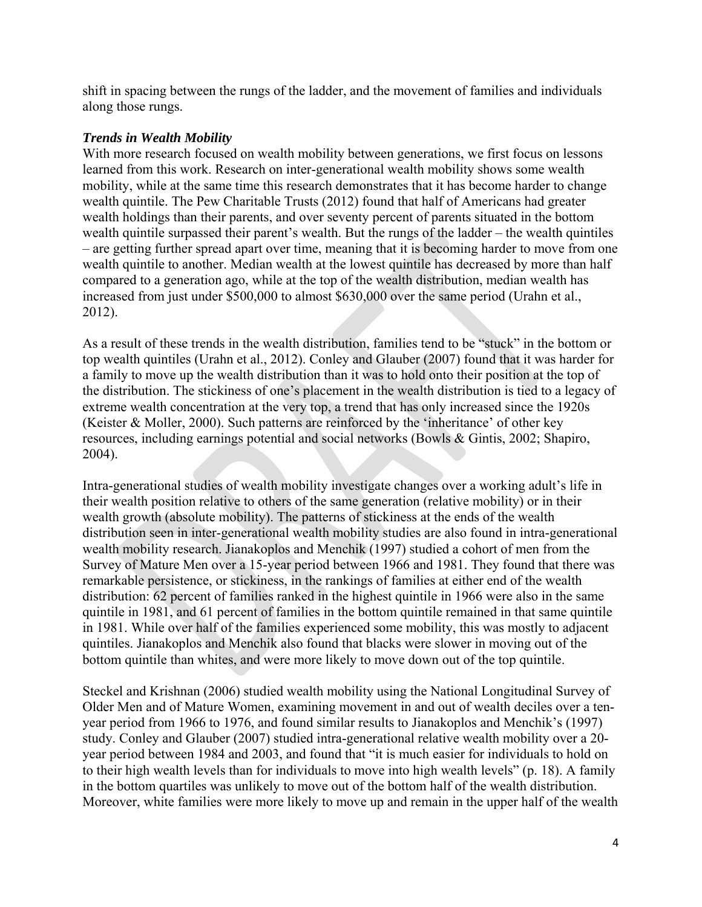shift in spacing between the rungs of the ladder, and the movement of families and individuals along those rungs.

### *Trends in Wealth Mobility*

With more research focused on wealth mobility between generations, we first focus on lessons learned from this work. Research on inter-generational wealth mobility shows some wealth mobility, while at the same time this research demonstrates that it has become harder to change wealth quintile. The Pew Charitable Trusts (2012) found that half of Americans had greater wealth holdings than their parents, and over seventy percent of parents situated in the bottom wealth quintile surpassed their parent's wealth. But the rungs of the ladder – the wealth quintiles – are getting further spread apart over time, meaning that it is becoming harder to move from one wealth quintile to another. Median wealth at the lowest quintile has decreased by more than half compared to a generation ago, while at the top of the wealth distribution, median wealth has increased from just under \$500,000 to almost \$630,000 over the same period (Urahn et al., 2012).

a family to move up the wealth distribution than it was to hold onto their position at the top of the distribution. The stickiness of one's placement in the wealth distribution is tied to a legacy of extreme wealth concentration at the very top, a trend that has only increased since the 1920s (Keister & Moller, 2000). Such patterns are reinforced by the 'inheritance' of other key resources, including earnings potential and social networks (Bowls & Gintis, 2002; Shapiro, 2004). As a result of these trends in the wealth distribution, families tend to be "stuck" in the bottom or top wealth quintiles (Urahn et al., 2012). Conley and Glauber (2007) found that it was harder for

quintile in 1981, and 61 percent of families in the bottom quintile remained in that same quintile Intra-generational studies of wealth mobility investigate changes over a working adult's life in their wealth position relative to others of the same generation (relative mobility) or in their wealth growth (absolute mobility). The patterns of stickiness at the ends of the wealth distribution seen in inter-generational wealth mobility studies are also found in intra-generational wealth mobility research. Jianakoplos and Menchik (1997) studied a cohort of men from the Survey of Mature Men over a 15-year period between 1966 and 1981. They found that there was remarkable persistence, or stickiness, in the rankings of families at either end of the wealth distribution: 62 percent of families ranked in the highest quintile in 1966 were also in the same in 1981. While over half of the families experienced some mobility, this was mostly to adjacent quintiles. Jianakoplos and Menchik also found that blacks were slower in moving out of the bottom quintile than whites, and were more likely to move down out of the top quintile.

Steckel and Krishnan (2006) studied wealth mobility using the National Longitudinal Survey of Older Men and of Mature Women, examining movement in and out of wealth deciles over a tenyear period from 1966 to 1976, and found similar results to Jianakoplos and Menchik's (1997) study. Conley and Glauber (2007) studied intra-generational relative wealth mobility over a 20 year period between 1984 and 2003, and found that "it is much easier for individuals to hold on to their high wealth levels than for individuals to move into high wealth levels" (p. 18). A family in the bottom quartiles was unlikely to move out of the bottom half of the wealth distribution. Moreover, white families were more likely to move up and remain in the upper half of the wealth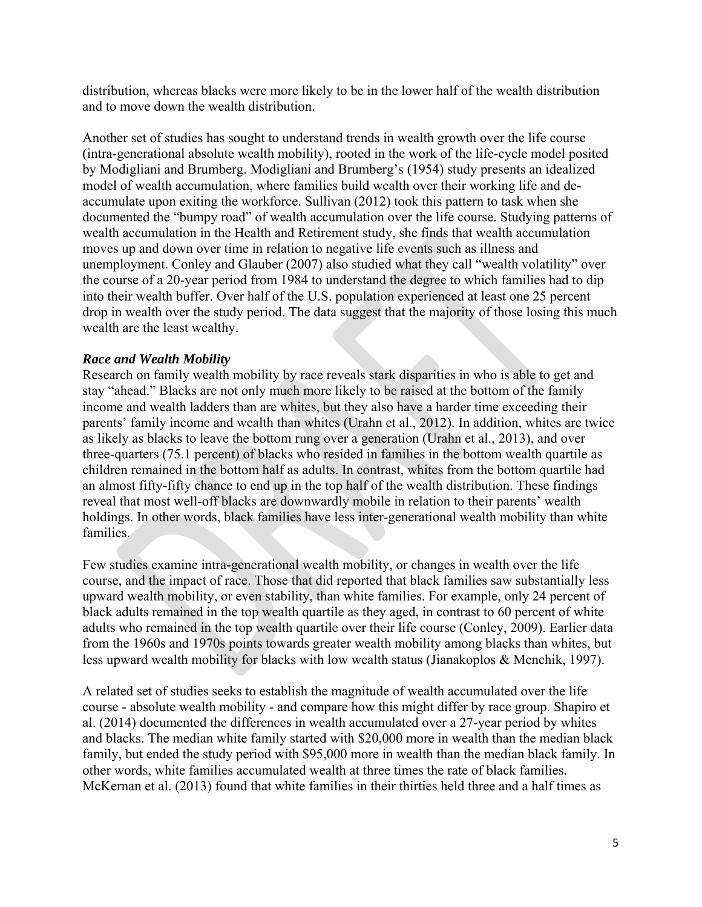distribution, whereas blacks were more likely to be in the lower half of the wealth distribution and to move down the wealth distribution.

Another set of studies has sought to understand trends in wealth growth over the life course (intra-generational absolute wealth mobility), rooted in the work of the life-cycle model posited by Modigliani and Brumberg. Modigliani and Brumberg's (1954) study presents an idealized model of wealth accumulation, where families build wealth over their working life and deaccumulate upon exiting the workforce. Sullivan (2012) took this pattern to task when she documented the "bumpy road" of wealth accumulation over the life course. Studying patterns of wealth accumulation in the Health and Retirement study, she finds that wealth accumulation moves up and down over time in relation to negative life events such as illness and unemployment. Conley and Glauber (2007) also studied what they call "wealth volatility" over the course of a 20-year period from 1984 to understand the degree to which families had to dip into their wealth buffer. Over half of the U.S. population experienced at least one 25 percent drop in wealth over the study period. The data suggest that the majority of those losing this much wealth are the least wealthy.

### *Race and Wealth Mobility*

Research on family wealth mobility by race reveals stark disparities in who is able to get and stay "ahead." Blacks are not only much more likely to be raised at the bottom of the family income and wealth ladders than are whites, but they also have a harder time exceeding their parents' family income and wealth than whites (Urahn et al., 2012). In addition, whites are twice as likely as blacks to leave the bottom rung over a generation (Urahn et al., 2013), and over three-quarters (75.1 percent) of blacks who resided in families in the bottom wealth quartile as children remained in the bottom half as adults. In contrast, whites from the bottom quartile had an almost fifty-fifty chance to end up in the top half of the wealth distribution. These findings reveal that most well-off blacks are downwardly mobile in relation to their parents' wealth holdings. In other words, black families have less inter-generational wealth mobility than white families.

black adults remained in the top wealth quartile as they aged, in contrast to 60 percent of white Few studies examine intra-generational wealth mobility, or changes in wealth over the life course, and the impact of race. Those that did reported that black families saw substantially less upward wealth mobility, or even stability, than white families. For example, only 24 percent of adults who remained in the top wealth quartile over their life course (Conley, 2009). Earlier data from the 1960s and 1970s points towards greater wealth mobility among blacks than whites, but less upward wealth mobility for blacks with low wealth status (Jianakoplos & Menchik, 1997).

A related set of studies seeks to establish the magnitude of wealth accumulated over the life course - absolute wealth mobility - and compare how this might differ by race group. Shapiro et al. (2014) documented the differences in wealth accumulated over a 27-year period by whites and blacks. The median white family started with \$20,000 more in wealth than the median black family, but ended the study period with \$95,000 more in wealth than the median black family. In other words, white families accumulated wealth at three times the rate of black families. McKernan et al. (2013) found that white families in their thirties held three and a half times as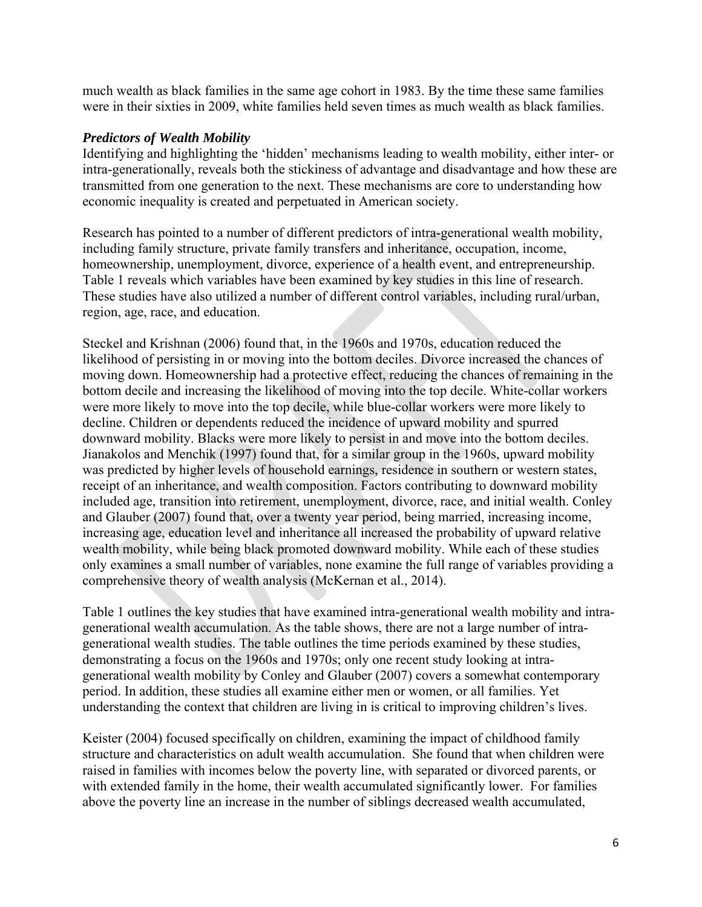much wealth as black families in the same age cohort in 1983. By the time these same families were in their sixties in 2009, white families held seven times as much wealth as black families.

### *Predictors of Wealth Mobility*

Identifying and highlighting the 'hidden' mechanisms leading to wealth mobility, either inter- or intra-generationally, reveals both the stickiness of advantage and disadvantage and how these are transmitted from one generation to the next. These mechanisms are core to understanding how economic inequality is created and perpetuated in American society.

Research has pointed to a number of different predictors of intra-generational wealth mobility, including family structure, private family transfers and inheritance, occupation, income, homeownership, unemployment, divorce, experience of a health event, and entrepreneurship. Table 1 reveals which variables have been examined by key studies in this line of research. These studies have also utilized a number of different control variables, including rural/urban, region, age, race, and education.

moving down. Homeownership had a protective effect, reducing the chances of remaining in the bottom decile and increasing the likelihood of moving into the top decile. White-collar workers were more likely to move into the top decile, while blue-collar workers were more likely to decline. Children or dependents reduced the incidence of upward mobility and spurred downward mobility. Blacks were more likely to persist in and move into the bottom deciles. Jianakolos and Menchik (1997) found that, for a similar group in the 1960s, upward mobility was predicted by higher levels of household earnings, residence in southern or western states, receipt of an inheritance, and wealth composition. Factors contributing to downward mobility included age, transition into retirement, unemployment, divorce, race, and initial wealth. Conley and Glauber (2007) found that, over a twenty year period, being married, increasing income, increasing age, education level and inheritance all increased the probability of upward relative wealth mobility, while being black promoted downward mobility. While each of these studies only examines a small number of variables, none examine the full range of variables providing a comprehensive theory of wealth analysis (McKernan et al., 2014). Steckel and Krishnan (2006) found that, in the 1960s and 1970s, education reduced the likelihood of persisting in or moving into the bottom deciles. Divorce increased the chances of

Table 1 outlines the key studies that have examined intra-generational wealth mobility and intragenerational wealth accumulation. As the table shows, there are not a large number of intragenerational wealth studies. The table outlines the time periods examined by these studies, demonstrating a focus on the 1960s and 1970s; only one recent study looking at intragenerational wealth mobility by Conley and Glauber (2007) covers a somewhat contemporary period. In addition, these studies all examine either men or women, or all families. Yet understanding the context that children are living in is critical to improving children's lives.

Keister (2004) focused specifically on children, examining the impact of childhood family structure and characteristics on adult wealth accumulation. She found that when children were raised in families with incomes below the poverty line, with separated or divorced parents, or with extended family in the home, their wealth accumulated significantly lower. For families above the poverty line an increase in the number of siblings decreased wealth accumulated,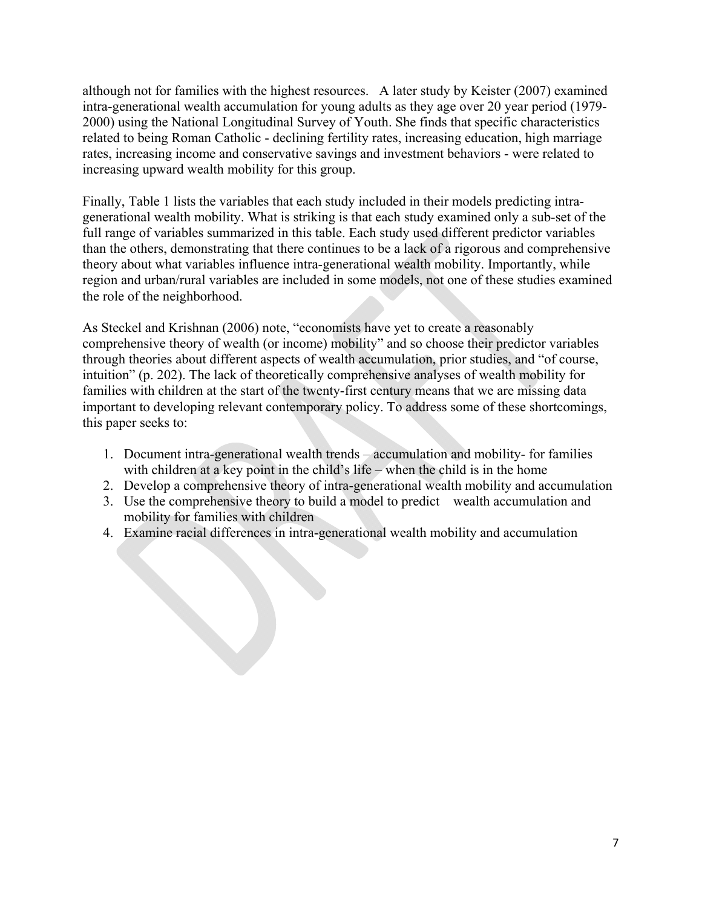although not for families with the highest resources. A later study by Keister (2007) examined intra-generational wealth accumulation for young adults as they age over 20 year period (1979- 2000) using the National Longitudinal Survey of Youth. She finds that specific characteristics related to being Roman Catholic - declining fertility rates, increasing education, high marriage rates, increasing income and conservative savings and investment behaviors - were related to increasing upward wealth mobility for this group.

Finally, Table 1 lists the variables that each study included in their models predicting intragenerational wealth mobility. What is striking is that each study examined only a sub-set of the full range of variables summarized in this table. Each study used different predictor variables than the others, demonstrating that there continues to be a lack of a rigorous and comprehensive theory about what variables influence intra-generational wealth mobility. Importantly, while region and urban/rural variables are included in some models, not one of these studies examined the role of the neighborhood.

As Steckel and Krishnan (2006) note, "economists have yet to create a reasonably comprehensive theory of wealth (or income) mobility" and so choose their predictor variables through theories about different aspects of wealth accumulation, prior studies, and "of course, intuition" (p. 202). The lack of theoretically comprehensive analyses of wealth mobility for families with children at the start of the twenty-first century means that we are missing data important to developing relevant contemporary policy. To address some of these shortcomings, this paper seeks to:

- 1. Document intra-generational wealth trends accumulation and mobility- for families with children at a key point in the child's life – when the child is in the home
- 2. Develop a comprehensive theory of intra-generational wealth mobility and accumulation
- 3. Use the comprehensive theory to build a model to predict wealth accumulation and mobility for families with children
- 4. Examine racial differences in intra-generational wealth mobility and accumulation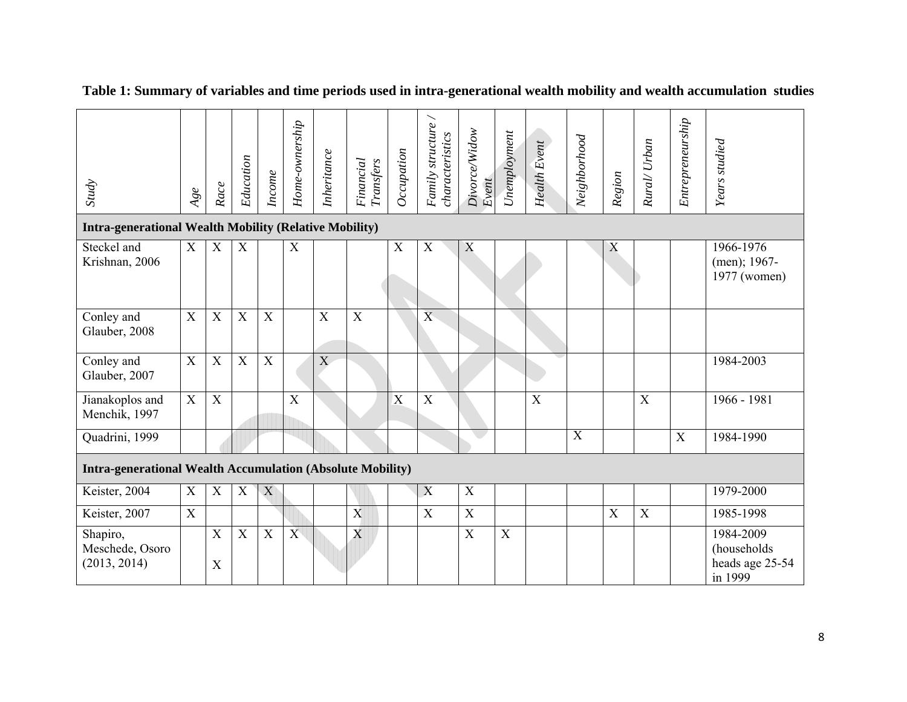| <b>Study</b>                                                      | $Age$ e          | Race           | Education        | Income                  | Home-ownership | <b>Inheritance</b> | Financial<br>Transfers | Occupation       | Family structure /<br>characteristics | Divorce/Widow<br>Event | Unemployment   | <b>Health Event</b> | Neighborhood   | Region                    | Rural/Urban | Entrepreneurship | Years studied                                           |
|-------------------------------------------------------------------|------------------|----------------|------------------|-------------------------|----------------|--------------------|------------------------|------------------|---------------------------------------|------------------------|----------------|---------------------|----------------|---------------------------|-------------|------------------|---------------------------------------------------------|
| <b>Intra-generational Wealth Mobility (Relative Mobility)</b>     |                  |                |                  |                         |                |                    |                        |                  |                                       |                        |                |                     |                |                           |             |                  |                                                         |
| Steckel and<br>Krishnan, 2006                                     | X                | X              | X                |                         | X              |                    |                        | $\boldsymbol{X}$ | X                                     | X                      |                |                     |                | X                         |             |                  | 1966-1976<br>(men); 1967-<br>1977 (women)               |
| Conley and<br>Glauber, 2008                                       | $\mathbf X$      | $\overline{X}$ | $\boldsymbol{X}$ | $\mathbf X$             |                | $\mathbf X$        | $\overline{X}$         |                  | $\overline{X}$                        |                        |                |                     |                |                           |             |                  |                                                         |
| Conley and<br>Glauber, 2007                                       | $\boldsymbol{X}$ | X              | $\boldsymbol{X}$ | $\boldsymbol{X}$        |                | X                  |                        |                  |                                       |                        |                |                     |                |                           |             |                  | 1984-2003                                               |
| Jianakoplos and<br>Menchik, 1997                                  | X                | X              |                  |                         | X              |                    |                        | X                | X                                     |                        |                | X                   |                |                           | X           |                  | $1966 - 1981$                                           |
| Quadrini, 1999                                                    |                  |                |                  |                         |                |                    |                        |                  |                                       |                        |                |                     | $\overline{X}$ |                           |             | $\boldsymbol{X}$ | 1984-1990                                               |
| <b>Intra-generational Wealth Accumulation (Absolute Mobility)</b> |                  |                |                  |                         |                |                    |                        |                  |                                       |                        |                |                     |                |                           |             |                  |                                                         |
| Keister, 2004                                                     | $\mathbf X$      | $\mathbf X$    | $\mathbf X$      | $\mathbf X$             |                |                    |                        |                  | $\mathbf X$                           | $\mathbf X$            |                |                     |                |                           |             |                  | 1979-2000                                               |
| Keister, 2007                                                     | $\mathbf X$      |                |                  |                         |                |                    | X                      |                  | X                                     | $\mathbf X$            |                |                     |                | $\boldsymbol{\mathrm{X}}$ | $\mathbf X$ |                  | 1985-1998                                               |
| Shapiro,<br>Meschede, Osoro<br>(2013, 2014)                       |                  | X<br>X         | $\overline{X}$   | $\overline{\mathbf{X}}$ | $\overline{X}$ |                    | $\overline{X}$         |                  |                                       | $\overline{X}$         | $\overline{X}$ |                     |                |                           |             |                  | 1984-2009<br>(households)<br>heads age 25-54<br>in 1999 |

**Table 1: Summary of variables and time periods used in intra-generational wealth mobility and wealth accumulation studies**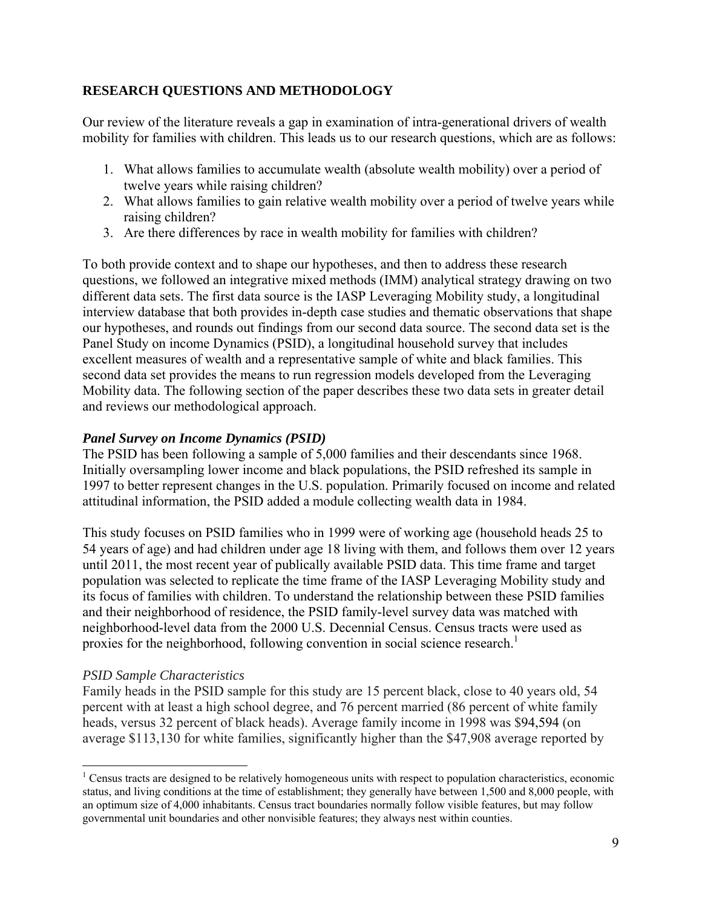# **RESEARCH QUESTIONS AND METHODOLOGY**

Our review of the literature reveals a gap in examination of intra-generational drivers of wealth mobility for families with children. This leads us to our research questions, which are as follows:

- 1. What allows families to accumulate wealth (absolute wealth mobility) over a period of twelve years while raising children?
- 2. What allows families to gain relative wealth mobility over a period of twelve years while raising children?
- 3. Are there differences by race in wealth mobility for families with children?

To both provide context and to shape our hypotheses, and then to address these research questions, we followed an integrative mixed methods (IMM) analytical strategy drawing on two different data sets. The first data source is the IASP Leveraging Mobility study, a longitudinal interview database that both provides in-depth case studies and thematic observations that shape our hypotheses, and rounds out findings from our second data source. The second data set is the Panel Study on income Dynamics (PSID), a longitudinal household survey that includes excellent measures of wealth and a representative sample of white and black families. This second data set provides the means to run regression models developed from the Leveraging Mobility data. The following section of the paper describes these two data sets in greater detail and reviews our methodological approach.

# *Panel Survey on Income Dynamics (PSID)*

The PSID has been following a sample of 5,000 families and their descendants since 1968. Initially oversampling lower income and black populations, the PSID refreshed its sample in 1997 to better represent changes in the U.S. population. Primarily focused on income and related attitudinal information, the PSID added a module collecting wealth data in 1984.

This study focuses on PSID families who in 1999 were of working age (household heads 25 to 54 years of age) and had children under age 18 living with them, and follows them over 12 years until 2011, the most recent year of publically available PSID data. This time frame and target population was selected to replicate the time frame of the IASP Leveraging Mobility study and its focus of families with children. To understand the relationship between these PSID families and their neighborhood of residence, the PSID family-level survey data was matched with neighborhood-level data from the 2000 U.S. Decennial Census. Census tracts were used as proxies for the neighborhood, following convention in social science research.<sup>1</sup>

# *PSID Sample Characteristics*

Family heads in the PSID sample for this study are 15 percent black, close to 40 years old, 54 percent with at least a high school degree, and 76 percent married (86 percent of white family heads, versus 32 percent of black heads). Average family income in 1998 was \$94,594 (on average \$113,130 for white families, significantly higher than the \$47,908 average reported by

 $1$  Census tracts are designed to be relatively homogeneous units with respect to population characteristics, economic status, and living conditions at the time of establishment; they generally have between 1,500 and 8,000 people, with an optimum size of 4,000 inhabitants. Census tract boundaries normally follow visible features, but may follow governmental unit boundaries and other nonvisible features; they always nest within counties.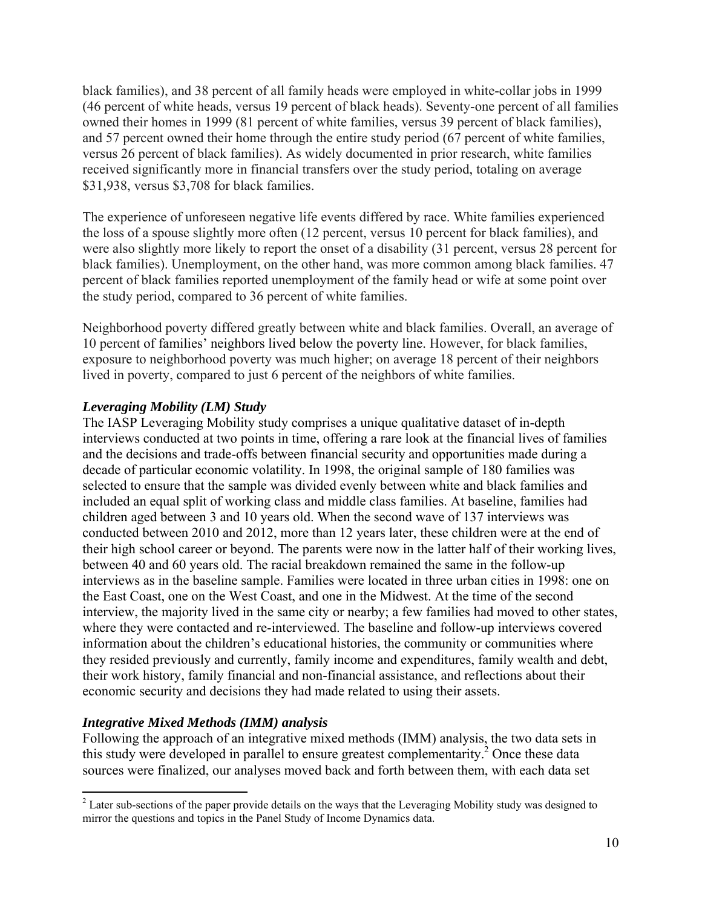black families), and 38 percent of all family heads were employed in white-collar jobs in 1999 (46 percent of white heads, versus 19 percent of black heads). Seventy-one percent of all families owned their homes in 1999 (81 percent of white families, versus 39 percent of black families), and 57 percent owned their home through the entire study period (67 percent of white families, versus 26 percent of black families). As widely documented in prior research, white families received significantly more in financial transfers over the study period, totaling on average \$31,938, versus \$3,708 for black families.

The experience of unforeseen negative life events differed by race. White families experienced the loss of a spouse slightly more often (12 percent, versus 10 percent for black families), and were also slightly more likely to report the onset of a disability (31 percent, versus 28 percent for black families). Unemployment, on the other hand, was more common among black families. 47 percent of black families reported unemployment of the family head or wife at some point over the study period, compared to 36 percent of white families.

Neighborhood poverty differed greatly between white and black families. Overall, an average of 10 percent of families' neighbors lived below the poverty line. However, for black families, exposure to neighborhood poverty was much higher; on average 18 percent of their neighbors lived in poverty, compared to just 6 percent of the neighbors of white families.

### *Leveraging Mobility (LM) Study*

The IASP Leveraging Mobility study comprises a unique qualitative dataset of in-depth interviews conducted at two points in time, offering a rare look at the financial lives of families and the decisions and trade-offs between financial security and opportunities made during a decade of particular economic volatility. In 1998, the original sample of 180 families was selected to ensure that the sample was divided evenly between white and black families and included an equal split of working class and middle class families. At baseline, families had children aged between 3 and 10 years old. When the second wave of 137 interviews was conducted between 2010 and 2012, more than 12 years later, these children were at the end of their high school career or beyond. The parents were now in the latter half of their working lives, between 40 and 60 years old. The racial breakdown remained the same in the follow-up interviews as in the baseline sample. Families were located in three urban cities in 1998: one on the East Coast, one on the West Coast, and one in the Midwest. At the time of the second interview, the majority lived in the same city or nearby; a few families had moved to other states, where they were contacted and re-interviewed. The baseline and follow-up interviews covered information about the children's educational histories, the community or communities where they resided previously and currently, family income and expenditures, family wealth and debt, their work history, family financial and non-financial assistance, and reflections about their economic security and decisions they had made related to using their assets.

#### *Integrative Mixed Methods (IMM) analysis*

Following the approach of an integrative mixed methods (IMM) analysis, the two data sets in this study were developed in parallel to ensure greatest complementarity.<sup>2</sup> Once these data sources were finalized, our analyses moved back and forth between them, with each data set

 mirror the questions and topics in the Panel Study of Income Dynamics data.  $2^{2}$  Later sub-sections of the paper provide details on the ways that the Leveraging Mobility study was designed to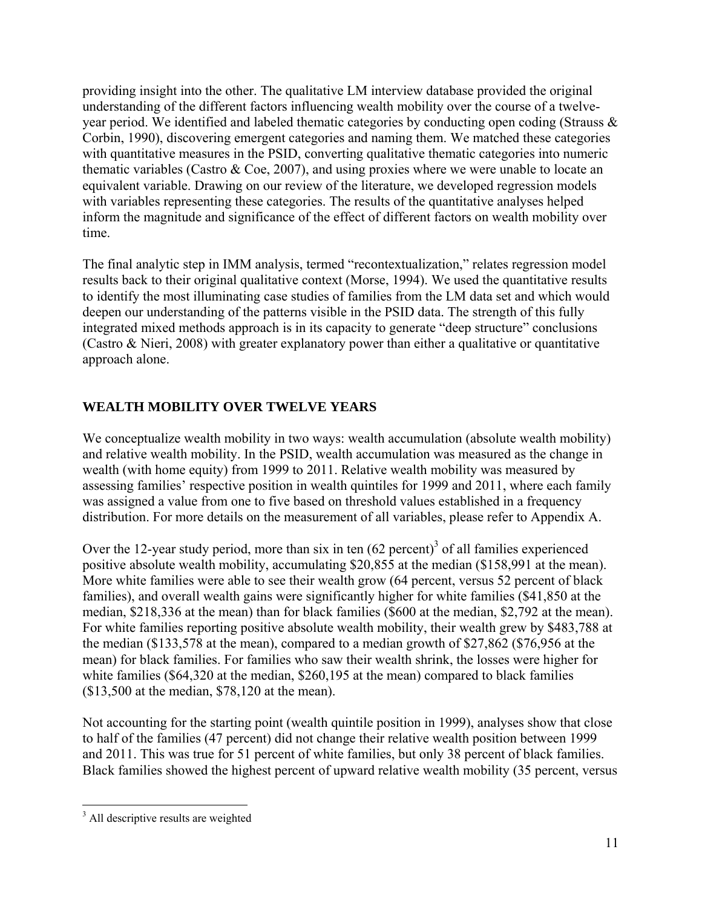providing insight into the other. The qualitative LM interview database provided the original understanding of the different factors influencing wealth mobility over the course of a twelveyear period. We identified and labeled thematic categories by conducting open coding (Strauss & Corbin, 1990), discovering emergent categories and naming them. We matched these categories with quantitative measures in the PSID, converting qualitative thematic categories into numeric thematic variables (Castro  $& Coe, 2007$ ), and using proxies where we were unable to locate an equivalent variable. Drawing on our review of the literature, we developed regression models with variables representing these categories. The results of the quantitative analyses helped inform the magnitude and significance of the effect of different factors on wealth mobility over time.

The final analytic step in IMM analysis, termed "recontextualization," relates regression model results back to their original qualitative context (Morse, 1994). We used the quantitative results to identify the most illuminating case studies of families from the LM data set and which would deepen our understanding of the patterns visible in the PSID data. The strength of this fully integrated mixed methods approach is in its capacity to generate "deep structure" conclusions (Castro & Nieri, 2008) with greater explanatory power than either a qualitative or quantitative approach alone.

# **WEALTH MOBILITY OVER TWELVE YEARS**

We conceptualize wealth mobility in two ways: wealth accumulation (absolute wealth mobility) and relative wealth mobility. In the PSID, wealth accumulation was measured as the change in wealth (with home equity) from 1999 to 2011. Relative wealth mobility was measured by assessing families' respective position in wealth quintiles for 1999 and 2011, where each family was assigned a value from one to five based on threshold values established in a frequency distribution. For more details on the measurement of all variables, please refer to Appendix A.

Over the 12-year study period, more than six in ten  $(62 \text{ percent})^3$  of all families experienced positive absolute wealth mobility, accumulating \$20,855 at the median (\$158,991 at the mean). More white families were able to see their wealth grow (64 percent, versus 52 percent of black families), and overall wealth gains were significantly higher for white families (\$41,850 at the median, \$218,336 at the mean) than for black families (\$600 at the median, \$2,792 at the mean). For white families reporting positive absolute wealth mobility, their wealth grew by \$483,788 at the median (\$133,578 at the mean), compared to a median growth of \$27,862 (\$76,956 at the mean) for black families. For families who saw their wealth shrink, the losses were higher for white families (\$64,320 at the median, \$260,195 at the mean) compared to black families (\$13,500 at the median, \$78,120 at the mean).

Not accounting for the starting point (wealth quintile position in 1999), analyses show that close to half of the families (47 percent) did not change their relative wealth position between 1999 and 2011. This was true for 51 percent of white families, but only 38 percent of black families. Black families showed the highest percent of upward relative wealth mobility (35 percent, versus

 <sup>3</sup> All descriptive results are weighted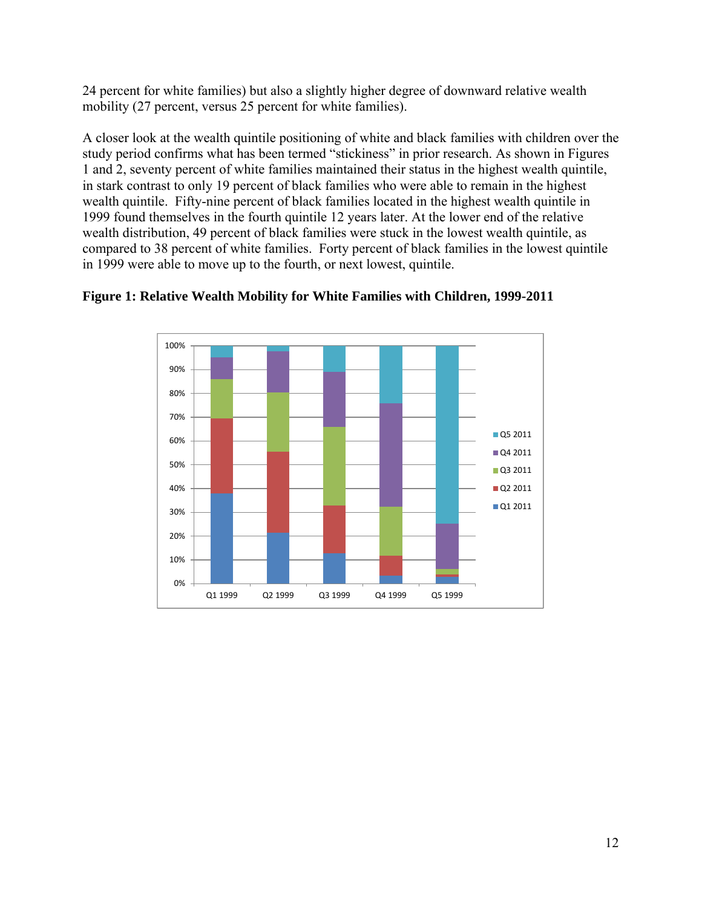24 percent for white families) but also a slightly higher degree of downward relative wealth mobility (27 percent, versus 25 percent for white families).

A closer look at the wealth quintile positioning of white and black families with children over the study period confirms what has been termed "stickiness" in prior research. As shown in Figures 1 and 2, seventy percent of white families maintained their status in the highest wealth quintile, in stark contrast to only 19 percent of black families who were able to remain in the highest wealth quintile. Fifty-nine percent of black families located in the highest wealth quintile in 1999 found themselves in the fourth quintile 12 years later. At the lower end of the relative wealth distribution, 49 percent of black families were stuck in the lowest wealth quintile, as compared to 38 percent of white families. Forty percent of black families in the lowest quintile in 1999 were able to move up to the fourth, or next lowest, quintile.



**Figure 1: Relative Wealth Mobility for White Families with Children, 1999-2011**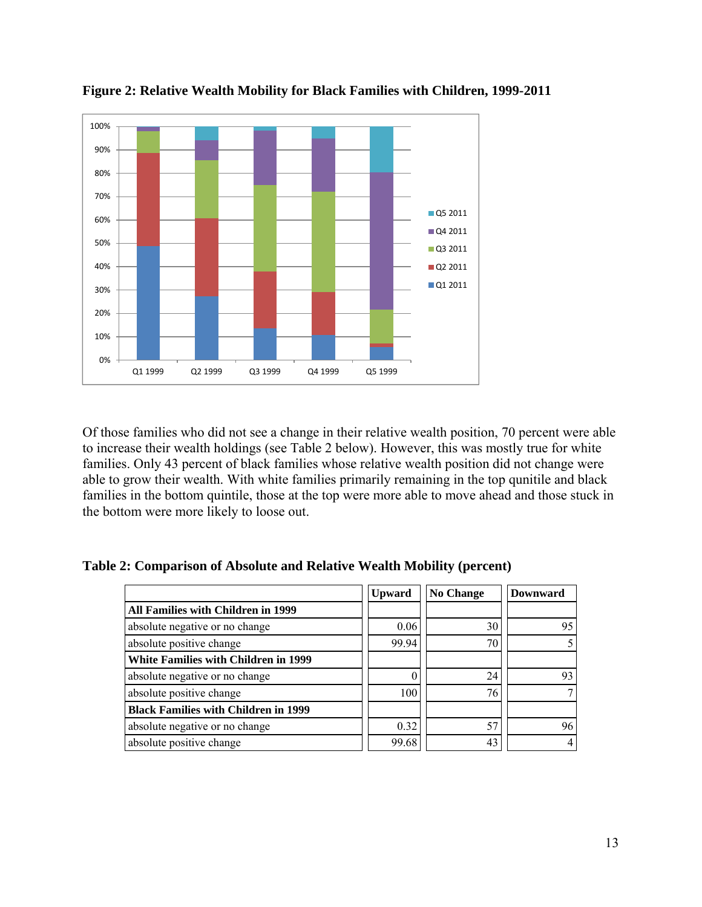

**Figure 2: Relative Wealth Mobility for Black Families with Children, 1999-2011** 

Of those families who did not see a change in their relative wealth position, 70 percent were able to increase their wealth holdings (see Table 2 below). However, this was mostly true for white families. Only 43 percent of black families whose relative wealth position did not change were able to grow their wealth. With white families primarily remaining in the top qunitile and black families in the bottom quintile, those at the top were more able to move ahead and those stuck in the bottom were more likely to loose out.

**Table 2: Comparison of Absolute and Relative Wealth Mobility (percent)** 

|                                             | <b>Upward</b> | <b>No Change</b> | <b>Downward</b> |
|---------------------------------------------|---------------|------------------|-----------------|
| All Families with Children in 1999          |               |                  |                 |
| absolute negative or no change              | 0.06          | 30               | 95              |
| absolute positive change                    | 99.94         | 70               |                 |
| <b>White Families with Children in 1999</b> |               |                  |                 |
| absolute negative or no change              |               | 24               | 93              |
| absolute positive change                    | 100           | 76               | 7               |
| <b>Black Families with Children in 1999</b> |               |                  |                 |
| absolute negative or no change              | 0.32          | 57               | 96              |
| absolute positive change                    | 99.68         | 43               | 4               |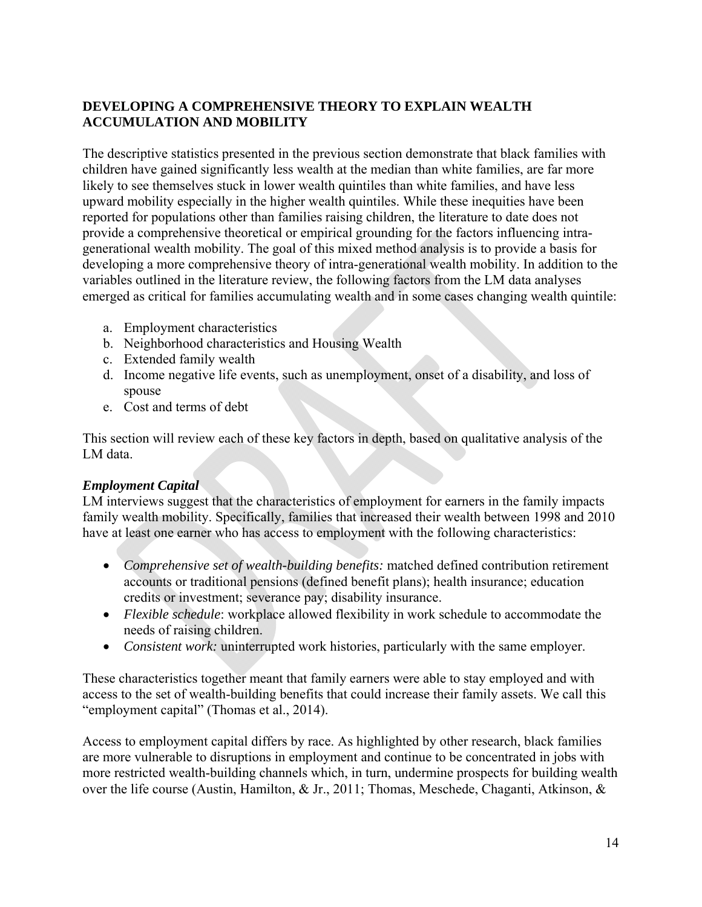# **DEVELOPING A COMPREHENSIVE THEORY TO EXPLAIN WEALTH ACCUMULATION AND MOBILITY**

The descriptive statistics presented in the previous section demonstrate that black families with children have gained significantly less wealth at the median than white families, are far more likely to see themselves stuck in lower wealth quintiles than white families, and have less upward mobility especially in the higher wealth quintiles. While these inequities have been reported for populations other than families raising children, the literature to date does not provide a comprehensive theoretical or empirical grounding for the factors influencing intragenerational wealth mobility. The goal of this mixed method analysis is to provide a basis for developing a more comprehensive theory of intra-generational wealth mobility. In addition to the variables outlined in the literature review, the following factors from the LM data analyses emerged as critical for families accumulating wealth and in some cases changing wealth quintile:

- a. Employment characteristics
- b. Neighborhood characteristics and Housing Wealth
- c. Extended family wealth
- d. Income negative life events, such as unemployment, onset of a disability, and loss of spouse
- e. Cost and terms of debt

This section will review each of these key factors in depth, based on qualitative analysis of the LM data.

# *Employment Capital*

LM interviews suggest that the characteristics of employment for earners in the family impacts family wealth mobility. Specifically, families that increased their wealth between 1998 and 2010 have at least one earner who has access to employment with the following characteristics:

- *Comprehensive set of wealth-building benefits:* matched defined contribution retirement accounts or traditional pensions (defined benefit plans); health insurance; education credits or investment; severance pay; disability insurance.
- *Flexible schedule*: workplace allowed flexibility in work schedule to accommodate the needs of raising children.
- *Consistent work:* uninterrupted work histories, particularly with the same employer.

These characteristics together meant that family earners were able to stay employed and with access to the set of wealth-building benefits that could increase their family assets. We call this "employment capital" (Thomas et al., 2014).

Access to employment capital differs by race. As highlighted by other research, black families are more vulnerable to disruptions in employment and continue to be concentrated in jobs with more restricted wealth-building channels which, in turn, undermine prospects for building wealth over the life course (Austin, Hamilton, & Jr., 2011; Thomas, Meschede, Chaganti, Atkinson, &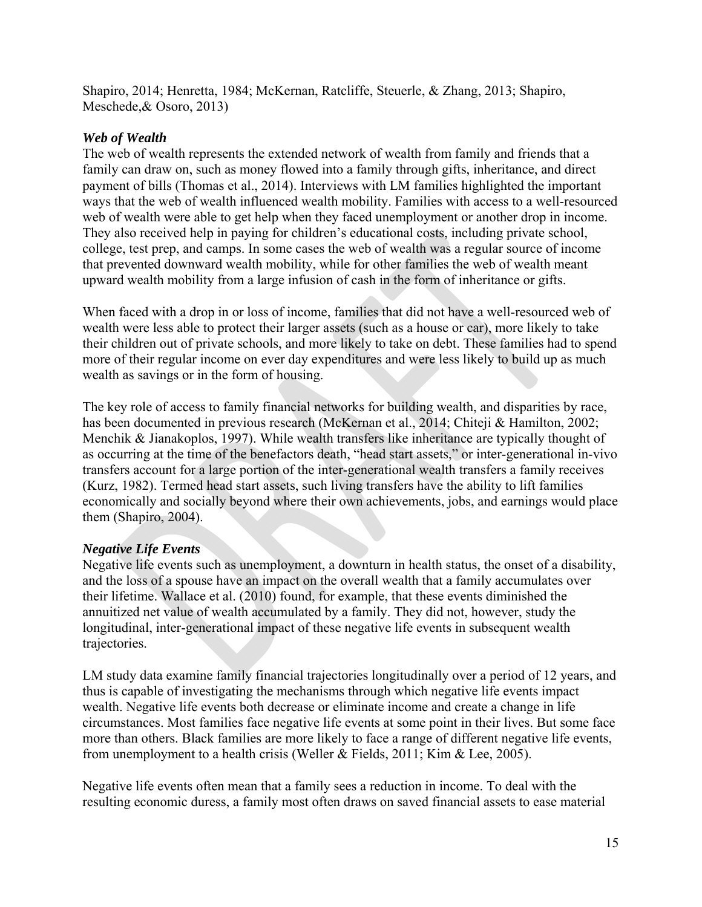Shapiro, 2014; Henretta, 1984; McKernan, Ratcliffe, Steuerle, & Zhang, 2013; Shapiro, Meschede,& Osoro, 2013)

### *Web of Wealth*

The web of wealth represents the extended network of wealth from family and friends that a family can draw on, such as money flowed into a family through gifts, inheritance, and direct payment of bills (Thomas et al., 2014). Interviews with LM families highlighted the important ways that the web of wealth influenced wealth mobility. Families with access to a well-resourced web of wealth were able to get help when they faced unemployment or another drop in income. They also received help in paying for children's educational costs, including private school, college, test prep, and camps. In some cases the web of wealth was a regular source of income that prevented downward wealth mobility, while for other families the web of wealth meant upward wealth mobility from a large infusion of cash in the form of inheritance or gifts.

When faced with a drop in or loss of income, families that did not have a well-resourced web of wealth were less able to protect their larger assets (such as a house or car), more likely to take their children out of private schools, and more likely to take on debt. These families had to spend more of their regular income on ever day expenditures and were less likely to build up as much wealth as savings or in the form of housing.

The key role of access to family financial networks for building wealth, and disparities by race, has been documented in previous research (McKernan et al., 2014; Chiteji & Hamilton, 2002; Menchik & Jianakoplos, 1997). While wealth transfers like inheritance are typically thought of as occurring at the time of the benefactors death, "head start assets," or inter-generational in-vivo transfers account for a large portion of the inter-generational wealth transfers a family receives (Kurz, 1982). Termed head start assets, such living transfers have the ability to lift families economically and socially beyond where their own achievements, jobs, and earnings would place them (Shapiro, 2004).

# *Negative Life Events*

annuitized net value of wealth accumulated by a family. They did not, however, study the Negative life events such as unemployment, a downturn in health status, the onset of a disability, and the loss of a spouse have an impact on the overall wealth that a family accumulates over their lifetime. Wallace et al. (2010) found, for example, that these events diminished the longitudinal, inter-generational impact of these negative life events in subsequent wealth trajectories.

LM study data examine family financial trajectories longitudinally over a period of 12 years, and thus is capable of investigating the mechanisms through which negative life events impact wealth. Negative life events both decrease or eliminate income and create a change in life circumstances. Most families face negative life events at some point in their lives. But some face more than others. Black families are more likely to face a range of different negative life events, from unemployment to a health crisis (Weller & Fields, 2011; Kim & Lee, 2005).

Negative life events often mean that a family sees a reduction in income. To deal with the resulting economic duress, a family most often draws on saved financial assets to ease material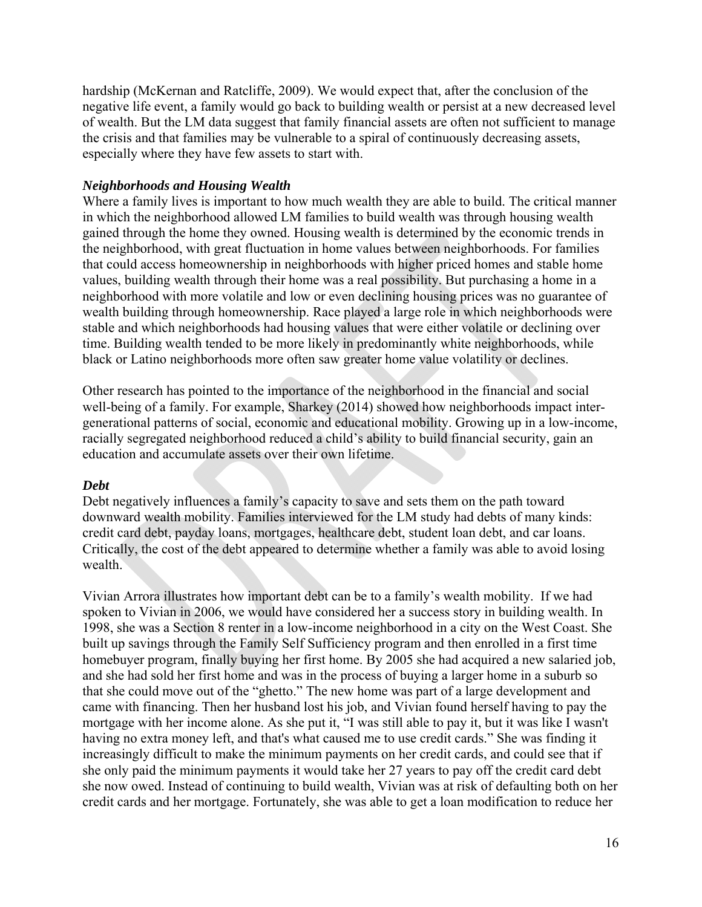hardship (McKernan and Ratcliffe, 2009). We would expect that, after the conclusion of the negative life event, a family would go back to building wealth or persist at a new decreased level of wealth. But the LM data suggest that family financial assets are often not sufficient to manage the crisis and that families may be vulnerable to a spiral of continuously decreasing assets, especially where they have few assets to start with.

#### *Neighborhoods and Housing Wealth*

Where a family lives is important to how much wealth they are able to build. The critical manner in which the neighborhood allowed LM families to build wealth was through housing wealth gained through the home they owned. Housing wealth is determined by the economic trends in the neighborhood, with great fluctuation in home values between neighborhoods. For families that could access homeownership in neighborhoods with higher priced homes and stable home values, building wealth through their home was a real possibility. But purchasing a home in a neighborhood with more volatile and low or even declining housing prices was no guarantee of wealth building through homeownership. Race played a large role in which neighborhoods were stable and which neighborhoods had housing values that were either volatile or declining over time. Building wealth tended to be more likely in predominantly white neighborhoods, while black or Latino neighborhoods more often saw greater home value volatility or declines.

Other research has pointed to the importance of the neighborhood in the financial and social well-being of a family. For example, Sharkey (2014) showed how neighborhoods impact intergenerational patterns of social, economic and educational mobility. Growing up in a low-income, racially segregated neighborhood reduced a child's ability to build financial security, gain an education and accumulate assets over their own lifetime.

#### *Debt*

Debt negatively influences a family's capacity to save and sets them on the path toward downward wealth mobility. Families interviewed for the LM study had debts of many kinds: credit card debt, payday loans, mortgages, healthcare debt, student loan debt, and car loans. Critically, the cost of the debt appeared to determine whether a family was able to avoid losing wealth.

spoken to Vivian in 2006, we would have considered her a success story in building wealth. In Vivian Arrora illustrates how important debt can be to a family's wealth mobility. If we had 1998, she was a Section 8 renter in a low-income neighborhood in a city on the West Coast. She built up savings through the Family Self Sufficiency program and then enrolled in a first time homebuyer program, finally buying her first home. By 2005 she had acquired a new salaried job, and she had sold her first home and was in the process of buying a larger home in a suburb so that she could move out of the "ghetto." The new home was part of a large development and came with financing. Then her husband lost his job, and Vivian found herself having to pay the mortgage with her income alone. As she put it, "I was still able to pay it, but it was like I wasn't having no extra money left, and that's what caused me to use credit cards." She was finding it increasingly difficult to make the minimum payments on her credit cards, and could see that if she only paid the minimum payments it would take her 27 years to pay off the credit card debt she now owed. Instead of continuing to build wealth, Vivian was at risk of defaulting both on her credit cards and her mortgage. Fortunately, she was able to get a loan modification to reduce her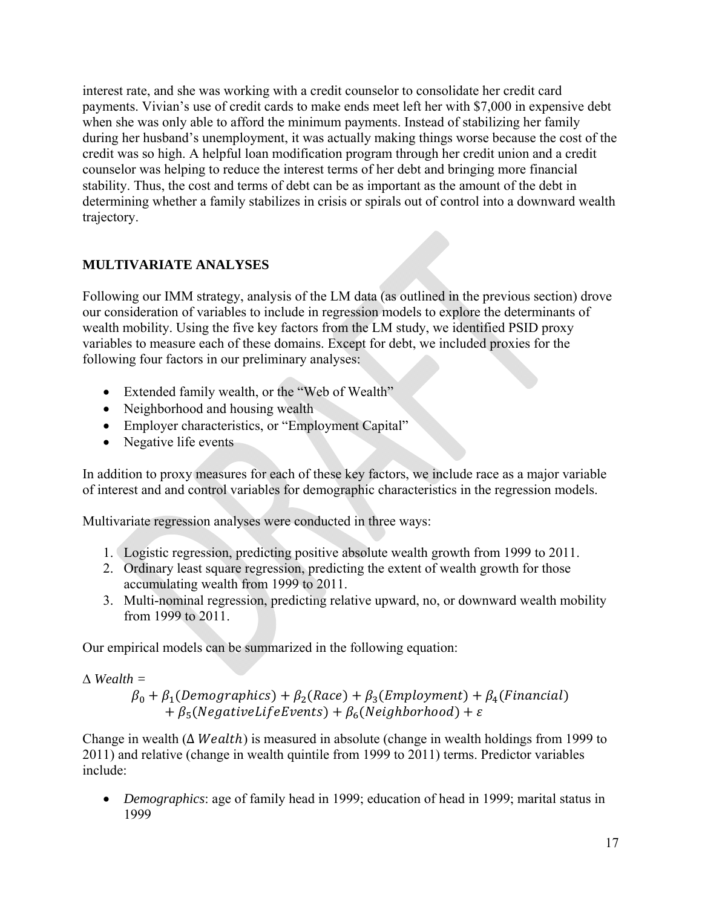interest rate, and she was working with a credit counselor to consolidate her credit card payments. Vivian's use of credit cards to make ends meet left her with \$7,000 in expensive debt when she was only able to afford the minimum payments. Instead of stabilizing her family during her husband's unemployment, it was actually making things worse because the cost of the credit was so high. A helpful loan modification program through her credit union and a credit counselor was helping to reduce the interest terms of her debt and bringing more financial stability. Thus, the cost and terms of debt can be as important as the amount of the debt in determining whether a family stabilizes in crisis or spirals out of control into a downward wealth trajectory.

# **MULTIVARIATE ANALYSES**

Following our IMM strategy, analysis of the LM data (as outlined in the previous section) drove our consideration of variables to include in regression models to explore the determinants of wealth mobility. Using the five key factors from the LM study, we identified PSID proxy variables to measure each of these domains. Except for debt, we included proxies for the following four factors in our preliminary analyses:

- Extended family wealth, or the "Web of Wealth"
- Neighborhood and housing wealth
- Employer characteristics, or "Employment Capital"
- Negative life events

In addition to proxy measures for each of these key factors, we include race as a major variable of interest and and control variables for demographic characteristics in the regression models.

Multivariate regression analyses were conducted in three ways:

- 1. Logistic regression, predicting positive absolute wealth growth from 1999 to 2011.
- 2. Ordinary least square regression, predicting the extent of wealth growth for those accumulating wealth from 1999 to 2011.
- Multi-nominal regression, predicting relative upward, no, or downward wealth mobility 3. from 1999 to 2011.

Our empirical models can be summarized in the following equation:

# ∆ *Wealth =*

 $\beta_0 + \beta_1(Demographics) + \beta_2(Race) + \beta_3(Employment) + \beta_4(Financial)$  $+ \beta_5$ (NegativeLifeEvents) +  $\beta_6$ (Neighborhood) +  $\varepsilon$ 

Change in wealth ( $\Delta$  *Wealth*) is measured in absolute (change in wealth holdings from 1999 to 2011) and relative (change in wealth quintile from 1999 to 2011) terms. Predictor variables include:

 *Demographics*: age of family head in 1999; education of head in 1999; marital status in 1999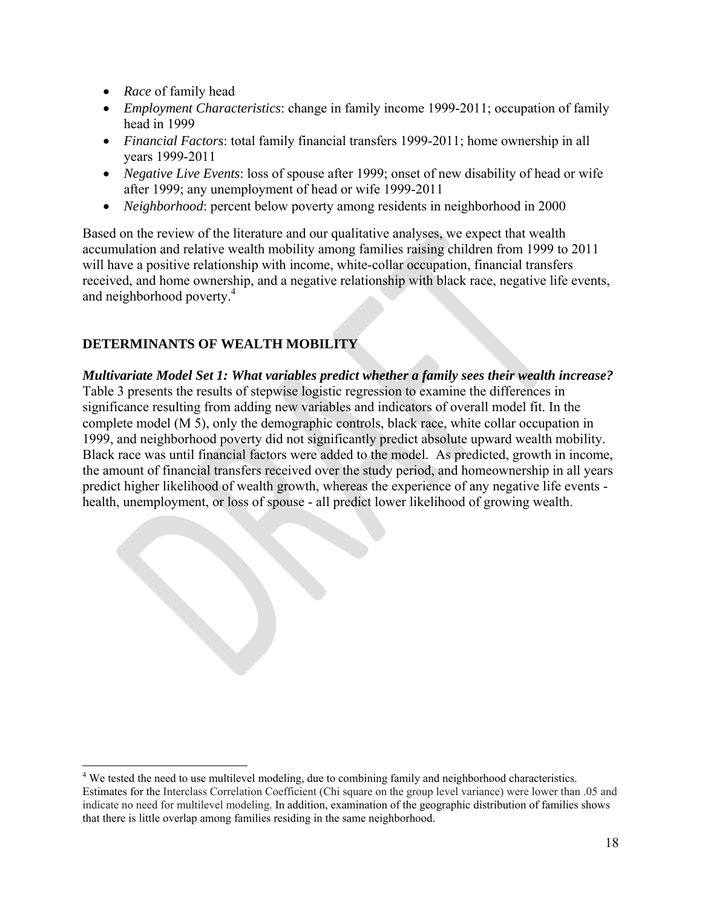- *Race* of family head
- *Employment Characteristics*: change in family income 1999-2011; occupation of family head in 1999
- *Financial Factors*: total family financial transfers 1999-2011; home ownership in all years 1999-2011
- *Negative Live Events*: loss of spouse after 1999; onset of new disability of head or wife after 1999; any unemployment of head or wife 1999-2011
- *Neighborhood*: percent below poverty among residents in neighborhood in 2000

Based on the review of the literature and our qualitative analyses, we expect that wealth accumulation and relative wealth mobility among families raising children from 1999 to 2011 will have a positive relationship with income, white-collar occupation, financial transfers received, and home ownership, and a negative relationship with black race, negative life events, and neighborhood poverty.4

# **DETERMINANTS OF WEALTH MOBILITY**

*Multivariate Model Set 1: What variables predict whether a family sees their wealth increase?*  Table 3 presents the results of stepwise logistic regression to examine the differences in significance resulting from adding new variables and indicators of overall model fit. In the complete model (M 5), only the demographic controls, black race, white collar occupation in 1999, and neighborhood poverty did not significantly predict absolute upward wealth mobility. Black race was until financial factors were added to the model. As predicted, growth in income, the amount of financial transfers received over the study period, and homeownership in all years predict higher likelihood of wealth growth, whereas the experience of any negative life events health, unemployment, or loss of spouse - all predict lower likelihood of growing wealth.

 <sup>4</sup> We tested the need to use multilevel modeling, due to combining family and neighborhood characteristics. Estimates for the Interclass Correlation Coefficient (Chi square on the group level variance) were lower than .05 and indicate no need for multilevel modeling. In addition, examination of the geographic distribution of families shows that there is little overlap among families residing in the same neighborhood.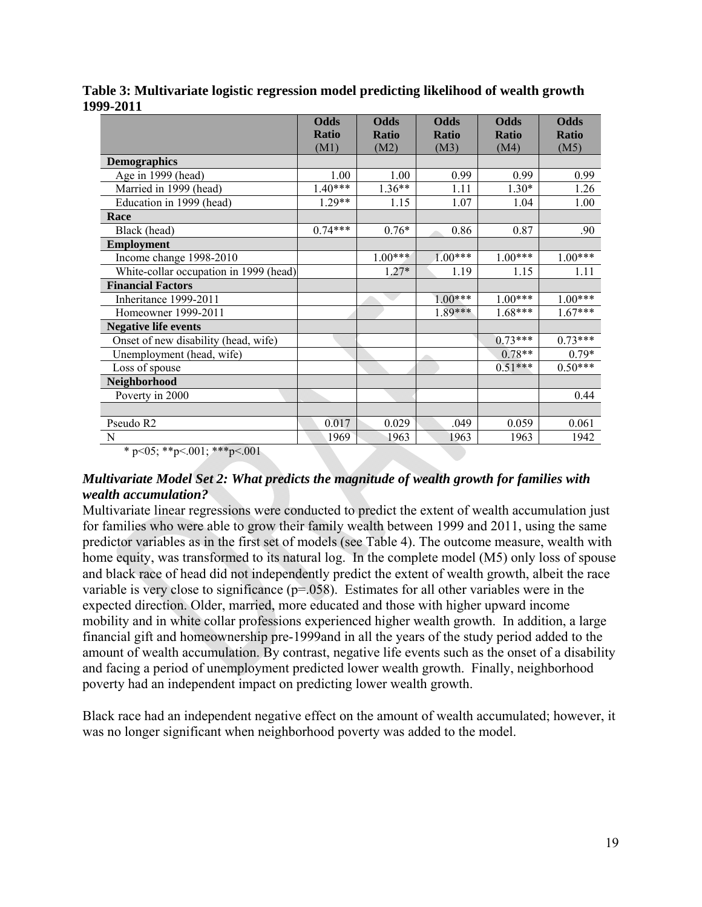|                                                                                                                                                                                                                                                                                                                                         | <b>Odds</b>  | <b>Odds</b>  | <b>Odds</b>  | <b>Odds</b>  | <b>Odds</b>  |
|-----------------------------------------------------------------------------------------------------------------------------------------------------------------------------------------------------------------------------------------------------------------------------------------------------------------------------------------|--------------|--------------|--------------|--------------|--------------|
|                                                                                                                                                                                                                                                                                                                                         | <b>Ratio</b> | <b>Ratio</b> | <b>Ratio</b> | <b>Ratio</b> | <b>Ratio</b> |
|                                                                                                                                                                                                                                                                                                                                         | (M1)         | (M2)         | (M3)         | (M4)         | (M5)         |
| <b>Demographics</b>                                                                                                                                                                                                                                                                                                                     |              |              |              |              |              |
| Age in 1999 (head)                                                                                                                                                                                                                                                                                                                      | 1.00         | 1.00         | 0.99         | 0.99         | 0.99         |
| Married in 1999 (head)                                                                                                                                                                                                                                                                                                                  | $1.40***$    | $1.36**$     | 1.11         | $1.30*$      | 1.26         |
| Education in 1999 (head)                                                                                                                                                                                                                                                                                                                | $1.29**$     | 1.15         | 1.07         | 1.04         | 1.00         |
| Race                                                                                                                                                                                                                                                                                                                                    |              |              |              |              |              |
| Black (head)                                                                                                                                                                                                                                                                                                                            | $0.74***$    | $0.76*$      | 0.86<br>à.   | 0.87         | .90          |
| <b>Employment</b>                                                                                                                                                                                                                                                                                                                       |              |              |              |              |              |
| Income change 1998-2010                                                                                                                                                                                                                                                                                                                 |              | $1.00***$    | $1.00***$    | $1.00***$    | $1.00***$    |
| White-collar occupation in 1999 (head)                                                                                                                                                                                                                                                                                                  |              | $1.27*$      | 1.19         | 1.15         | 1.11         |
| <b>Financial Factors</b>                                                                                                                                                                                                                                                                                                                |              |              |              |              |              |
| Inheritance 1999-2011                                                                                                                                                                                                                                                                                                                   |              |              | $1.00***$    | $1.00***$    | $1.00***$    |
| Homeowner 1999-2011                                                                                                                                                                                                                                                                                                                     |              |              | $1.89***$    | $1.68***$    | $1.67***$    |
| <b>Negative life events</b>                                                                                                                                                                                                                                                                                                             |              |              |              |              |              |
| Onset of new disability (head, wife)                                                                                                                                                                                                                                                                                                    |              |              |              | $0.73***$    | $0.73***$    |
| Unemployment (head, wife)                                                                                                                                                                                                                                                                                                               |              |              |              | $0.78**$     | $0.79*$      |
| Loss of spouse                                                                                                                                                                                                                                                                                                                          |              |              |              | $0.51***$    | $0.50***$    |
| Neighborhood                                                                                                                                                                                                                                                                                                                            |              |              |              |              |              |
| Poverty in 2000                                                                                                                                                                                                                                                                                                                         |              |              |              |              | 0.44         |
|                                                                                                                                                                                                                                                                                                                                         |              |              |              |              |              |
| Pseudo R2                                                                                                                                                                                                                                                                                                                               | 0.017        | 0.029        | .049         | 0.059        | 0.061        |
| N<br>$\mathbf{a}$ $\mathbf{a}$ $\mathbf{b}$ $\mathbf{c}$ $\mathbf{a}$ $\mathbf{a}$ $\mathbf{b}$ $\mathbf{c}$ $\mathbf{a}$ $\mathbf{c}$ $\mathbf{a}$ $\mathbf{b}$ $\mathbf{c}$ $\mathbf{a}$ $\mathbf{c}$ $\mathbf{a}$ $\mathbf{c}$ $\mathbf{a}$ $\mathbf{c}$ $\mathbf{a}$ $\mathbf{c}$ $\mathbf{c}$ $\mathbf{c}$ $\mathbf{c}$ $\mathbf{$ | 1969         | 1963         | 1963         | 1963         | 1942         |

**Table 3: Multivariate logistic regression model predicting likelihood of wealth growth 1999-2011** 

\* p<05; \*\*p<.001; \*\*\*p<.001

# *Multivariate Model Set 2: What predicts the magnitude of wealth growth for families with wealth accumulation?*

Multivariate linear regressions were conducted to predict the extent of wealth accumulation just for families who were able to grow their family wealth between 1999 and 2011, using the same predictor variables as in the first set of models (see Table 4). The outcome measure, wealth with home equity, was transformed to its natural log. In the complete model (M5) only loss of spouse and black race of head did not independently predict the extent of wealth growth, albeit the race variable is very close to significance  $(p=0.058)$ . Estimates for all other variables were in the expected direction. Older, married, more educated and those with higher upward income mobility and in white collar professions experienced higher wealth growth. In addition, a large financial gift and homeownership pre-1999and in all the years of the study period added to the amount of wealth accumulation. By contrast, negative life events such as the onset of a disability and facing a period of unemployment predicted lower wealth growth. Finally, neighborhood poverty had an independent impact on predicting lower wealth growth.

Black race had an independent negative effect on the amount of wealth accumulated; however, it was no longer significant when neighborhood poverty was added to the model.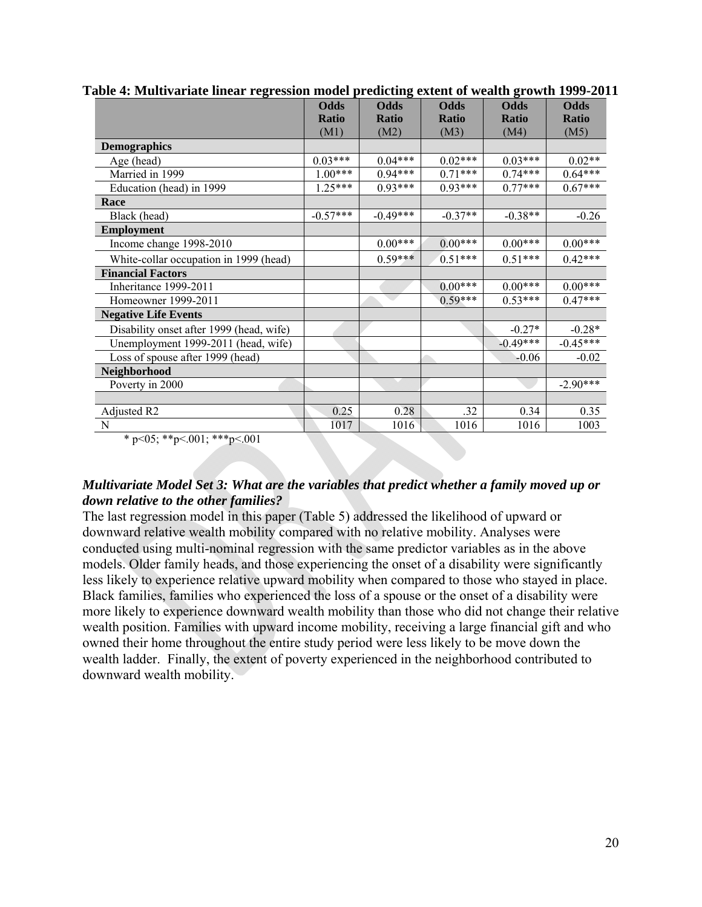|                                          |              |              |              | $-$          |              |
|------------------------------------------|--------------|--------------|--------------|--------------|--------------|
|                                          | <b>Odds</b>  | <b>Odds</b>  | <b>Odds</b>  | <b>Odds</b>  | <b>Odds</b>  |
|                                          | <b>Ratio</b> | <b>Ratio</b> | <b>Ratio</b> | <b>Ratio</b> | <b>Ratio</b> |
|                                          | (M1)         | (M2)         | (M3)         | (M4)         | (M5)         |
| <b>Demographics</b>                      |              |              |              |              |              |
| Age (head)                               | $0.03***$    | $0.04***$    | $0.02***$    | $0.03***$    | $0.02**$     |
| Married in 1999                          | $1.00***$    | $0.94***$    | $0.71***$    | $0.74***$    | $0.64***$    |
| Education (head) in 1999                 | $1.25***$    | $0.93***$    | $0.93***$    | $0.77***$    | $0.67***$    |
| Race                                     |              |              |              |              |              |
| Black (head)                             | $-0.57***$   | $-0.49***$   | $-0.37**$    | $-0.38**$    | $-0.26$      |
| <b>Employment</b>                        |              |              |              |              |              |
| Income change 1998-2010                  |              | $0.00***$    | $0.00***$    | $0.00***$    | $0.00***$    |
| White-collar occupation in 1999 (head)   |              | $0.59***$    | $0.51***$    | $0.51***$    | $0.42***$    |
| <b>Financial Factors</b>                 |              |              |              |              |              |
| Inheritance 1999-2011                    |              |              | $0.00***$    | $0.00***$    | $0.00***$    |
| Homeowner 1999-2011                      |              |              | $0.59***$    | $0.53***$    | $0.47***$    |
| <b>Negative Life Events</b>              |              |              |              |              |              |
| Disability onset after 1999 (head, wife) |              |              |              | $-0.27*$     | $-0.28*$     |
| Unemployment 1999-2011 (head, wife)      |              |              |              | $-0.49***$   | $-0.45***$   |
| Loss of spouse after 1999 (head)         |              |              |              | $-0.06$      | $-0.02$      |
| Neighborhood                             |              |              |              |              |              |
| Poverty in 2000                          |              |              |              |              | $-2.90***$   |
|                                          |              |              |              |              |              |
| Adjusted R2                              | 0.25         | 0.28         | .32          | 0.34         | 0.35         |
| $\mathbf N$                              | 1017         | 1016         | 1016         | 1016         | 1003         |

**Table 4: Multivariate linear regression model predicting extent of wealth growth 1999-2011** 

\* p<05; \*\*p<.001; \*\*\*p $\leq$ .001

# *Multivariate Model Set 3: What are the variables that predict whether a family moved up or down relative to the other families?*

The last regression model in this paper (Table 5) addressed the likelihood of upward or downward relative wealth mobility compared with no relative mobility. Analyses were conducted using multi-nominal regression with the same predictor variables as in the above models. Older family heads, and those experiencing the onset of a disability were significantly less likely to experience relative upward mobility when compared to those who stayed in place. Black families, families who experienced the loss of a spouse or the onset of a disability were more likely to experience downward wealth mobility than those who did not change their relative wealth position. Families with upward income mobility, receiving a large financial gift and who owned their home throughout the entire study period were less likely to be move down the wealth ladder. Finally, the extent of poverty experienced in the neighborhood contributed to downward wealth mobility.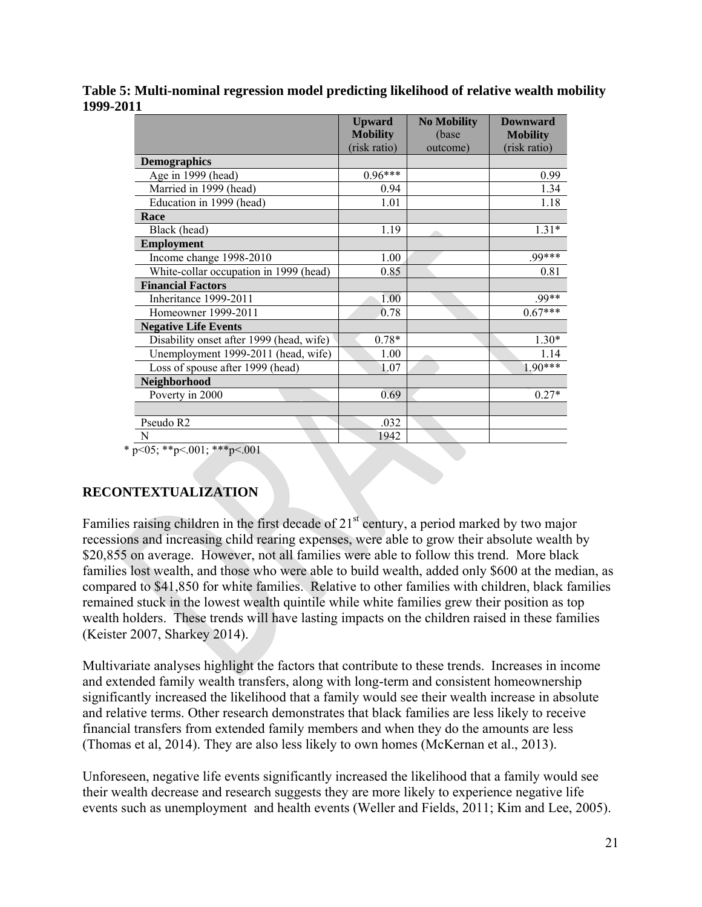#### **Table 5: Multi-nominal regression model predicting likelihood of relative wealth mobility 1999-2011**

|                                          | <b>Upward</b><br><b>Mobility</b> | <b>No Mobility</b><br>(base) | <b>Downward</b><br><b>Mobility</b> |
|------------------------------------------|----------------------------------|------------------------------|------------------------------------|
|                                          | (risk ratio)                     | outcome)                     | (risk ratio)                       |
| <b>Demographics</b>                      |                                  |                              |                                    |
| Age in 1999 (head)                       | $0.96***$                        |                              | 0.99                               |
| Married in 1999 (head)                   | 0.94                             |                              | 1.34                               |
| Education in 1999 (head)                 | 1.01                             |                              | 1.18                               |
| Race                                     |                                  |                              |                                    |
| Black (head)                             | 1.19                             |                              | $1.31*$                            |
| <b>Employment</b>                        |                                  |                              |                                    |
| Income change 1998-2010                  | 1.00                             |                              | $.99***$                           |
| White-collar occupation in 1999 (head)   | 0.85                             |                              | 0.81                               |
| <b>Financial Factors</b>                 |                                  |                              |                                    |
| Inheritance 1999-2011                    | 1.00                             |                              | .99**                              |
| Homeowner 1999-2011                      | 0.78                             |                              | $0.67***$                          |
| <b>Negative Life Events</b>              |                                  |                              |                                    |
| Disability onset after 1999 (head, wife) | $0.78*$                          |                              | $1.30*$                            |
| Unemployment 1999-2011 (head, wife)      | 1.00                             | 68                           | 1.14                               |
| Loss of spouse after 1999 (head)         | 1.07                             |                              | $1.90***$                          |
| Neighborhood                             |                                  |                              |                                    |
| Poverty in 2000                          | 0.69                             |                              | $0.27*$                            |
|                                          |                                  |                              |                                    |
| Pseudo R2                                | .032                             |                              |                                    |
| N                                        | 1942                             |                              |                                    |

\* p<05; \*\*p<.001; \*\*\*p<.001

# **RECONTEXTUALIZATION**

Families raising children in the first decade of  $21<sup>st</sup>$  century, a period marked by two major recessions and increasing child rearing expenses, were able to grow their absolute wealth by \$20,855 on average. However, not all families were able to follow this trend. More black families lost wealth, and those who were able to build wealth, added only \$600 at the median, as compared to \$41,850 for white families. Relative to other families with children, black families remained stuck in the lowest wealth quintile while white families grew their position as top wealth holders. These trends will have lasting impacts on the children raised in these families (Keister 2007, Sharkey 2014).

Multivariate analyses highlight the factors that contribute to these trends. Increases in income and extended family wealth transfers, along with long-term and consistent homeownership significantly increased the likelihood that a family would see their wealth increase in absolute and relative terms. Other research demonstrates that black families are less likely to receive financial transfers from extended family members and when they do the amounts are less (Thomas et al, 2014). They are also less likely to own homes (McKernan et al., 2013).

Unforeseen, negative life events significantly increased the likelihood that a family would see their wealth decrease and research suggests they are more likely to experience negative life events such as unemployment and health events (Weller and Fields, 2011; Kim and Lee, 2005).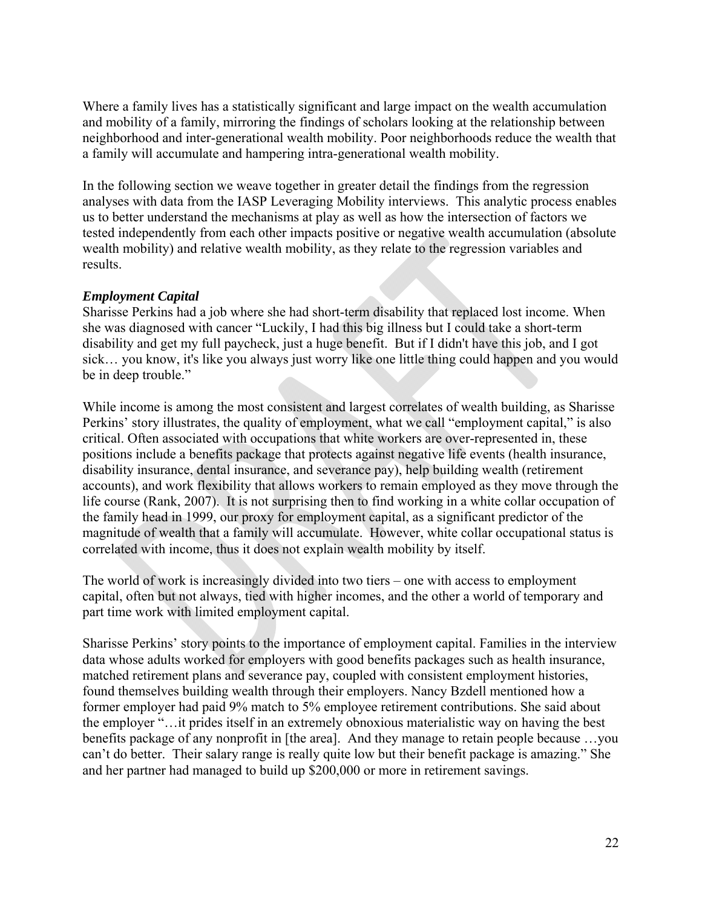Where a family lives has a statistically significant and large impact on the wealth accumulation and mobility of a family, mirroring the findings of scholars looking at the relationship between neighborhood and inter-generational wealth mobility. Poor neighborhoods reduce the wealth that a family will accumulate and hampering intra-generational wealth mobility.

In the following section we weave together in greater detail the findings from the regression analyses with data from the IASP Leveraging Mobility interviews. This analytic process enables us to better understand the mechanisms at play as well as how the intersection of factors we tested independently from each other impacts positive or negative wealth accumulation (absolute wealth mobility) and relative wealth mobility, as they relate to the regression variables and results.

### *Employment Capital*

Sharisse Perkins had a job where she had short-term disability that replaced lost income. When she was diagnosed with cancer "Luckily, I had this big illness but I could take a short-term disability and get my full paycheck, just a huge benefit. But if I didn't have this job, and I got sick… you know, it's like you always just worry like one little thing could happen and you would be in deep trouble."

While income is among the most consistent and largest correlates of wealth building, as Sharisse Perkins' story illustrates, the quality of employment, what we call "employment capital," is also critical. Often associated with occupations that white workers are over-represented in, these positions include a benefits package that protects against negative life events (health insurance, disability insurance, dental insurance, and severance pay), help building wealth (retirement accounts), and work flexibility that allows workers to remain employed as they move through the life course (Rank, 2007). It is not surprising then to find working in a white collar occupation of the family head in 1999, our proxy for employment capital, as a significant predictor of the magnitude of wealth that a family will accumulate. However, white collar occupational status is correlated with income, thus it does not explain wealth mobility by itself.

part time work with limited employment capital. The world of work is increasingly divided into two tiers – one with access to employment capital, often but not always, tied with higher incomes, and the other a world of temporary and

Sharisse Perkins' story points to the importance of employment capital. Families in the interview data whose adults worked for employers with good benefits packages such as health insurance, matched retirement plans and severance pay, coupled with consistent employment histories, found themselves building wealth through their employers. Nancy Bzdell mentioned how a former employer had paid 9% match to 5% employee retirement contributions. She said about the employer "…it prides itself in an extremely obnoxious materialistic way on having the best benefits package of any nonprofit in [the area]. And they manage to retain people because …you can't do better. Their salary range is really quite low but their benefit package is amazing." She and her partner had managed to build up \$200,000 or more in retirement savings.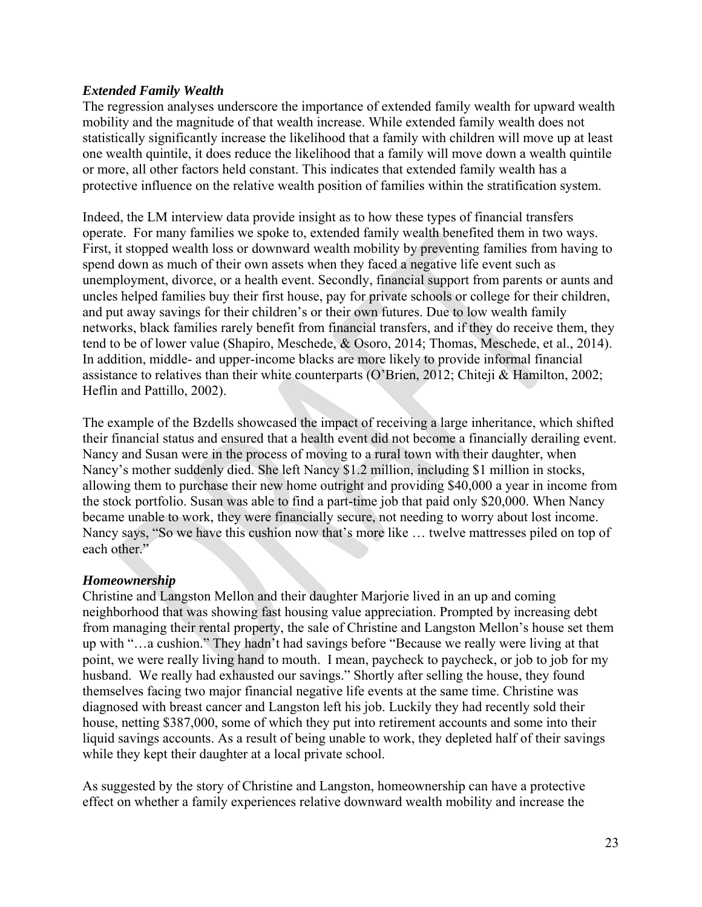### *Extended Family Wealth*

The regression analyses underscore the importance of extended family wealth for upward wealth mobility and the magnitude of that wealth increase. While extended family wealth does not statistically significantly increase the likelihood that a family with children will move up at least one wealth quintile, it does reduce the likelihood that a family will move down a wealth quintile or more, all other factors held constant. This indicates that extended family wealth has a protective influence on the relative wealth position of families within the stratification system.

 tend to be of lower value (Shapiro, Meschede, & Osoro, 2014; Thomas, Meschede, et al., 2014). Indeed, the LM interview data provide insight as to how these types of financial transfers operate. For many families we spoke to, extended family wealth benefited them in two ways. assistance to relatives than their white counterparts (O'Brien, 2012; Chiteji & Hamilton, 2002; Heflin and Pattillo, 2002). First, it stopped wealth loss or downward wealth mobility by preventing families from having to spend down as much of their own assets when they faced a negative life event such as unemployment, divorce, or a health event. Secondly, financial support from parents or aunts and uncles helped families buy their first house, pay for private schools or college for their children, and put away savings for their children's or their own futures. Due to low wealth family networks, black families rarely benefit from financial transfers, and if they do receive them, they In addition, middle- and upper-income blacks are more likely to provide informal financial

The example of the Bzdells showcased the impact of receiving a large inheritance, which shifted their financial status and ensured that a health event did not become a financially derailing event. Nancy and Susan were in the process of moving to a rural town with their daughter, when Nancy's mother suddenly died. She left Nancy \$1.2 million, including \$1 million in stocks, allowing them to purchase their new home outright and providing \$40,000 a year in income from the stock portfolio. Susan was able to find a part-time job that paid only \$20,000. When Nancy became unable to work, they were financially secure, not needing to worry about lost income. Nancy says, "So we have this cushion now that's more like … twelve mattresses piled on top of each other."

### *Homeownership*

neighborhood that was showing fast housing value appreciation. Prompted by increasing debt Christine and Langston Mellon and their daughter Marjorie lived in an up and coming from managing their rental property, the sale of Christine and Langston Mellon's house set them up with "…a cushion." They hadn't had savings before "Because we really were living at that point, we were really living hand to mouth. I mean, paycheck to paycheck, or job to job for my husband. We really had exhausted our savings." Shortly after selling the house, they found themselves facing two major financial negative life events at the same time. Christine was diagnosed with breast cancer and Langston left his job. Luckily they had recently sold their house, netting \$387,000, some of which they put into retirement accounts and some into their liquid savings accounts. As a result of being unable to work, they depleted half of their savings while they kept their daughter at a local private school.

As suggested by the story of Christine and Langston, homeownership can have a protective effect on whether a family experiences relative downward wealth mobility and increase the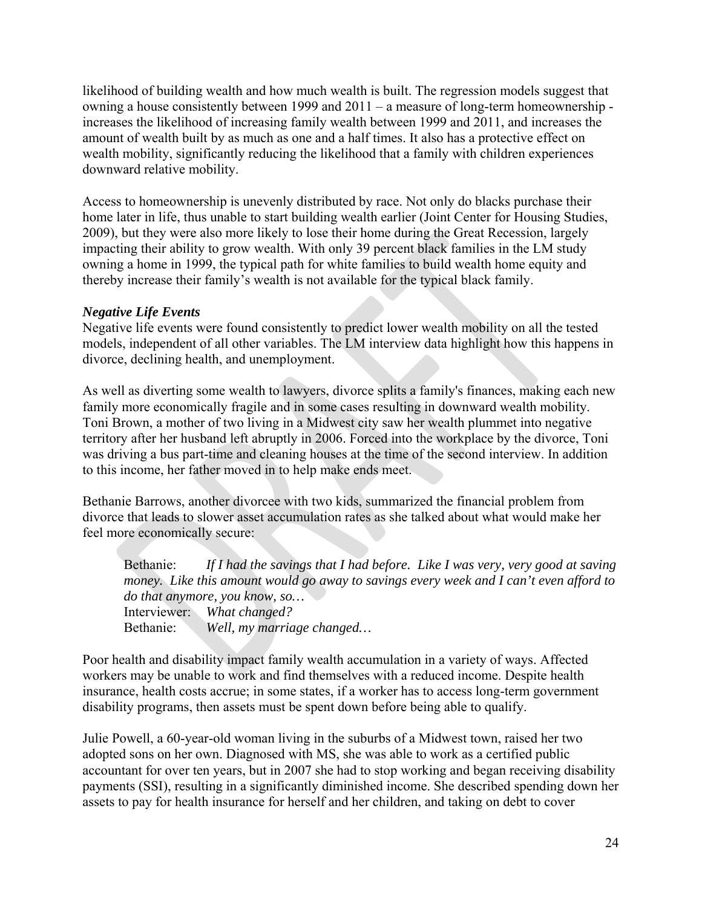likelihood of building wealth and how much wealth is built. The regression models suggest that owning a house consistently between 1999 and 2011 – a measure of long-term homeownership increases the likelihood of increasing family wealth between 1999 and 2011, and increases the amount of wealth built by as much as one and a half times. It also has a protective effect on wealth mobility, significantly reducing the likelihood that a family with children experiences downward relative mobility.

Access to homeownership is unevenly distributed by race. Not only do blacks purchase their home later in life, thus unable to start building wealth earlier (Joint Center for Housing Studies, 2009), but they were also more likely to lose their home during the Great Recession, largely impacting their ability to grow wealth. With only 39 percent black families in the LM study owning a home in 1999, the typical path for white families to build wealth home equity and thereby increase their family's wealth is not available for the typical black family.

### *Negative Life Events*

Negative life events were found consistently to predict lower wealth mobility on all the tested models, independent of all other variables. The LM interview data highlight how this happens in divorce, declining health, and unemployment.

As well as diverting some wealth to lawyers, divorce splits a family's finances, making each new family more economically fragile and in some cases resulting in downward wealth mobility. Toni Brown, a mother of two living in a Midwest city saw her wealth plummet into negative territory after her husband left abruptly in 2006. Forced into the workplace by the divorce, Toni was driving a bus part-time and cleaning houses at the time of the second interview. In addition to this income, her father moved in to help make ends meet.

Bethanie Barrows, another divorcee with two kids, summarized the financial problem from divorce that leads to slower asset accumulation rates as she talked about what would make her feel more economically secure:

Interviewer: *What changed?*  Bethanie: *Well, my marriage changed…*  Bethanie: *If I had the savings that I had before. Like I was very, very good at saving money. Like this amount would go away to savings every week and I can't even afford to do that anymore, you know, so…* 

Poor health and disability impact family wealth accumulation in a variety of ways. Affected workers may be unable to work and find themselves with a reduced income. Despite health insurance, health costs accrue; in some states, if a worker has to access long-term government disability programs, then assets must be spent down before being able to qualify.

Julie Powell, a 60-year-old woman living in the suburbs of a Midwest town, raised her two adopted sons on her own. Diagnosed with MS, she was able to work as a certified public accountant for over ten years, but in 2007 she had to stop working and began receiving disability payments (SSI), resulting in a significantly diminished income. She described spending down her assets to pay for health insurance for herself and her children, and taking on debt to cover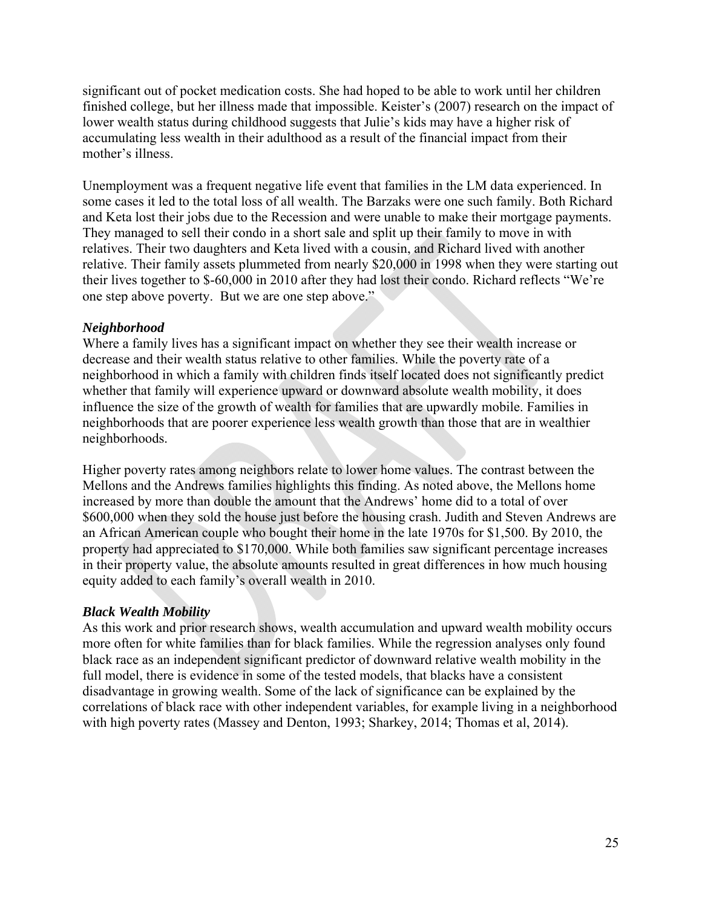significant out of pocket medication costs. She had hoped to be able to work until her children finished college, but her illness made that impossible. Keister's (2007) research on the impact of lower wealth status during childhood suggests that Julie's kids may have a higher risk of accumulating less wealth in their adulthood as a result of the financial impact from their mother's illness.

Unemployment was a frequent negative life event that families in the LM data experienced. In some cases it led to the total loss of all wealth. The Barzaks were one such family. Both Richard and Keta lost their jobs due to the Recession and were unable to make their mortgage payments. They managed to sell their condo in a short sale and split up their family to move in with relatives. Their two daughters and Keta lived with a cousin, and Richard lived with another relative. Their family assets plummeted from nearly \$20,000 in 1998 when they were starting out their lives together to \$-60,000 in 2010 after they had lost their condo. Richard reflects "We're one step above poverty. But we are one step above."

### *Neighborhood*

neighborhood in which a family with children finds itself located does not significantly predict whether that family will experience upward or downward absolute wealth mobility, it does influence the size of the growth of wealth for families that are upwardly mobile. Families in neighborhoods that are poorer experience less wealth growth than those that are in wealthier neighborhoods. Where a family lives has a significant impact on whether they see their wealth increase or decrease and their wealth status relative to other families. While the poverty rate of a

Higher poverty rates among neighbors relate to lower home values. The contrast between the Mellons and the Andrews families highlights this finding. As noted above, the Mellons home increased by more than double the amount that the Andrews' home did to a total of over \$600,000 when they sold the house just before the housing crash. Judith and Steven Andrews are an African American couple who bought their home in the late 1970s for \$1,500. By 2010, the property had appreciated to \$170,000. While both families saw significant percentage increases in their property value, the absolute amounts resulted in great differences in how much housing equity added to each family's overall wealth in 2010.

# *Black Wealth Mobility*

As this work and prior research shows, wealth accumulation and upward wealth mobility occurs more often for white families than for black families. While the regression analyses only found black race as an independent significant predictor of downward relative wealth mobility in the full model, there is evidence in some of the tested models, that blacks have a consistent disadvantage in growing wealth. Some of the lack of significance can be explained by the correlations of black race with other independent variables, for example living in a neighborhood with high poverty rates (Massey and Denton, 1993; Sharkey, 2014; Thomas et al, 2014).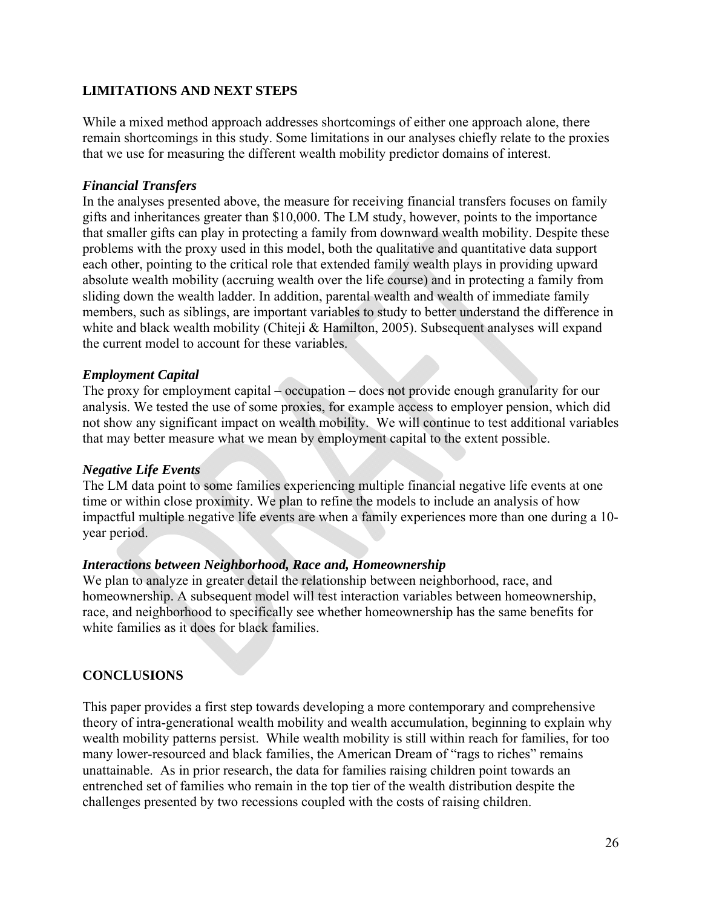# **LIMITATIONS AND NEXT STEPS**

While a mixed method approach addresses shortcomings of either one approach alone, there remain shortcomings in this study. Some limitations in our analyses chiefly relate to the proxies that we use for measuring the different wealth mobility predictor domains of interest.

# *Financial Transfers*

In the analyses presented above, the measure for receiving financial transfers focuses on family gifts and inheritances greater than \$10,000. The LM study, however, points to the importance that smaller gifts can play in protecting a family from downward wealth mobility. Despite these sliding down the wealth ladder. In addition, parental wealth and wealth of immediate family members, such as siblings, are important variables to study to better understand the difference in white and black wealth mobility (Chiteji & Hamilton, 2005). Subsequent analyses will expand problems with the proxy used in this model, both the qualitative and quantitative data support each other, pointing to the critical role that extended family wealth plays in providing upward absolute wealth mobility (accruing wealth over the life course) and in protecting a family from the current model to account for these variables.

# *Employment Capital*

 that may better measure what we mean by employment capital to the extent possible. The proxy for employment capital – occupation – does not provide enough granularity for our analysis. We tested the use of some proxies, for example access to employer pension, which did not show any significant impact on wealth mobility. We will continue to test additional variables

# *Negative Life Events*

The LM data point to some families experiencing multiple financial negative life events at one time or within close proximity. We plan to refine the models to include an analysis of how impactful multiple negative life events are when a family experiences more than one during a 10 year period.

# *Interactions between Neighborhood, Race and, Homeownership*

race, and neighborhood to specifically see whether homeownership has the same benefits for white families as it does for black families. We plan to analyze in greater detail the relationship between neighborhood, race, and homeownership. A subsequent model will test interaction variables between homeownership,

# **CONCLUSIONS**

This paper provides a first step towards developing a more contemporary and comprehensive theory of intra-generational wealth mobility and wealth accumulation, beginning to explain why wealth mobility patterns persist. While wealth mobility is still within reach for families, for too many lower-resourced and black families, the American Dream of "rags to riches" remains unattainable. As in prior research, the data for families raising children point towards an entrenched set of families who remain in the top tier of the wealth distribution despite the challenges presented by two recessions coupled with the costs of raising children.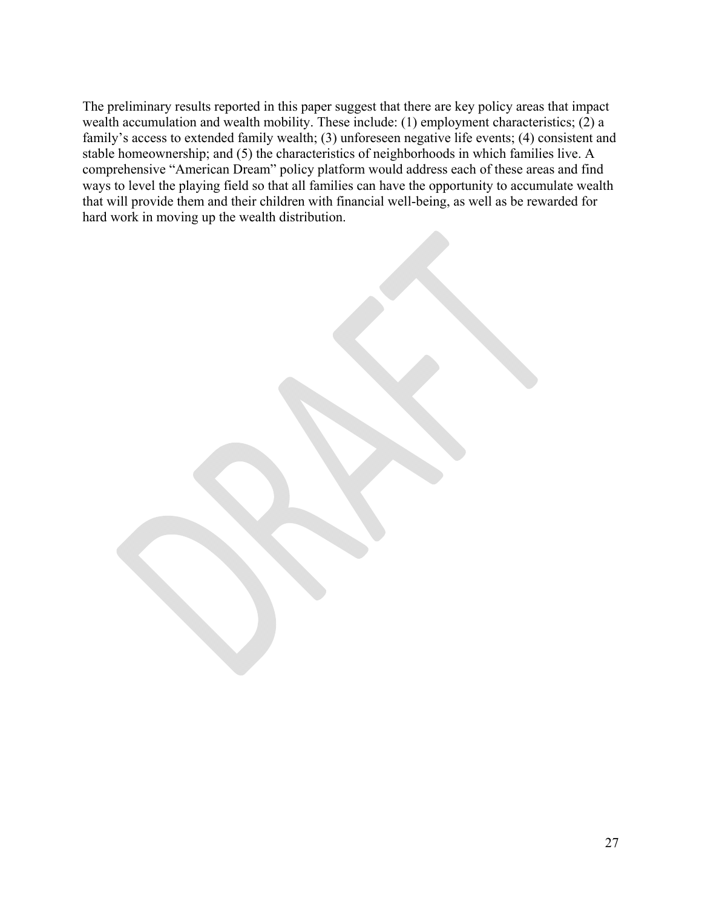The preliminary results reported in this paper suggest that there are key policy areas that impact wealth accumulation and wealth mobility. These include: (1) employment characteristics; (2) a family's access to extended family wealth; (3) unforeseen negative life events; (4) consistent and stable homeownership; and (5) the characteristics of neighborhoods in which families live. A comprehensive "American Dream" policy platform would address each of these areas and find ways to level the playing field so that all families can have the opportunity to accumulate wealth that will provide them and their children with financial well-being, as well as be rewarded for hard work in moving up the wealth distribution.

27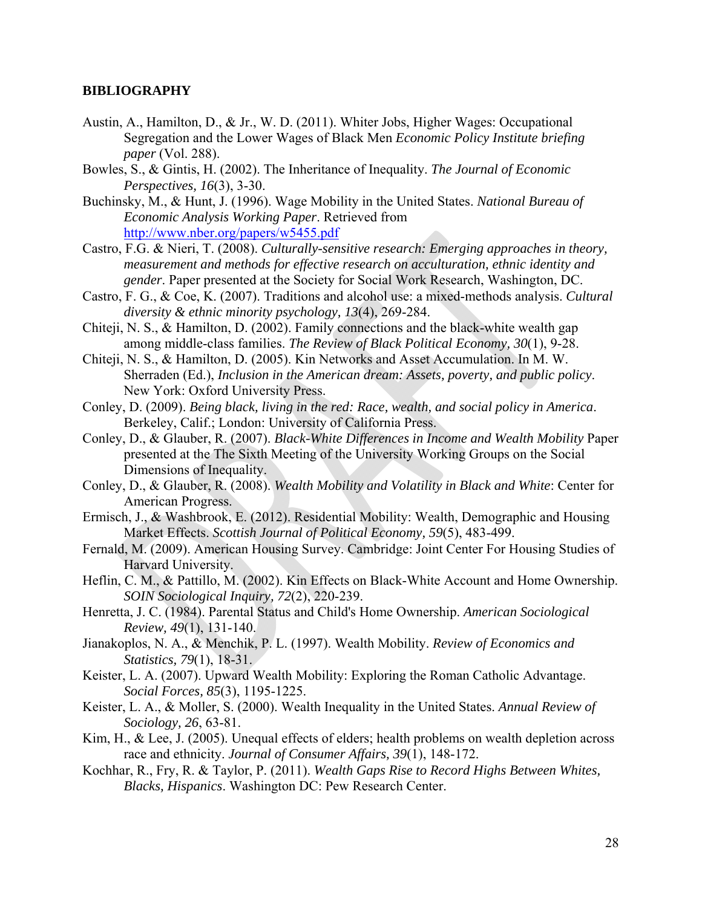#### **BIBLIOGRAPHY**

- Austin, A., Hamilton, D., & Jr., W. D. (2011). Whiter Jobs, Higher Wages: Occupational Segregation and the Lower Wages of Black Men *Economic Policy Institute briefing paper* (Vol. 288).
- Bowles, S., & Gintis, H. (2002). The Inheritance of Inequality. *The Journal of Economic Perspectives, 16*(3), 3-30.
- Buchinsky, M., & Hunt, J. (1996). Wage Mobility in the United States. *National Bureau of Economic Analysis Working Paper*. Retrieved from <http://www.nber.org/papers/w5455.pdf>
- Castro, F.G. & Nieri, T. (2008). *Culturally-sensitive research: Emerging approaches in theory, measurement and methods for effective research on acculturation, ethnic identity and gender*. Paper presented at the Society for Social Work Research, Washington, DC.
- Castro, F. G., & Coe, K. (2007). Traditions and alcohol use: a mixed-methods analysis. *Cultural diversity & ethnic minority psychology, 13*(4), 269-284.
- Chiteji, N. S., & Hamilton, D. (2002). Family connections and the black-white wealth gap among middle-class families. *The Review of Black Political Economy, 30*(1), 9-28.
- Sherraden (Ed.), *Inclusion in the American dream: Assets, poverty, and public policy*. New York: Oxford University Press. Chiteji, N. S., & Hamilton, D. (2005). Kin Networks and Asset Accumulation. In M. W.
- Conley, D. (2009). *Being black, living in the red: Race, wealth, and social policy in America*. Berkeley, Calif.; London: University of California Press.
- Conley, D., & Glauber, R. (2007). *Black-White Differences in Income and Wealth Mobility* Paper presented at the The Sixth Meeting of the University Working Groups on the Social Dimensions of Inequality.
- Conley, D., & Glauber, R. (2008). *Wealth Mobility and Volatility in Black and White*: Center for American Progress.
- Ermisch, J., & Washbrook, E. (2012). Residential Mobility: Wealth, Demographic and Housing Market Effects. *Scottish Journal of Political Economy, 59*(5), 483-499.
- Fernald, M. (2009). American Housing Survey. Cambridge: Joint Center For Housing Studies of Harvard University.
- Heflin, C. M., & Pattillo, M. (2002). Kin Effects on Black-White Account and Home Ownership. *SOIN Sociological Inquiry, 72*(2), 220-239.
- Henretta, J. C. (1984). Parental Status and Child's Home Ownership. *American Sociological Review, 49*(1), 131-140.
- Jianakoplos, N. A., & Menchik, P. L. (1997). Wealth Mobility. *Review of Economics and Statistics, 79*(1), 18-31.
- Keister, L. A. (2007). Upward Wealth Mobility: Exploring the Roman Catholic Advantage. *Social Forces, 85*(3), 1195-1225.
- Keister, L. A., & Moller, S. (2000). Wealth Inequality in the United States. *Annual Review of Sociology, 26*, 63-81.
- Kim, H., & Lee, J. (2005). Unequal effects of elders; health problems on wealth depletion across race and ethnicity. *Journal of Consumer Affairs, 39*(1), 148-172.
- Kochhar, R., Fry, R. & Taylor, P. (2011). *Wealth Gaps Rise to Record Highs Between Whites, Blacks, Hispanics*. Washington DC: Pew Research Center.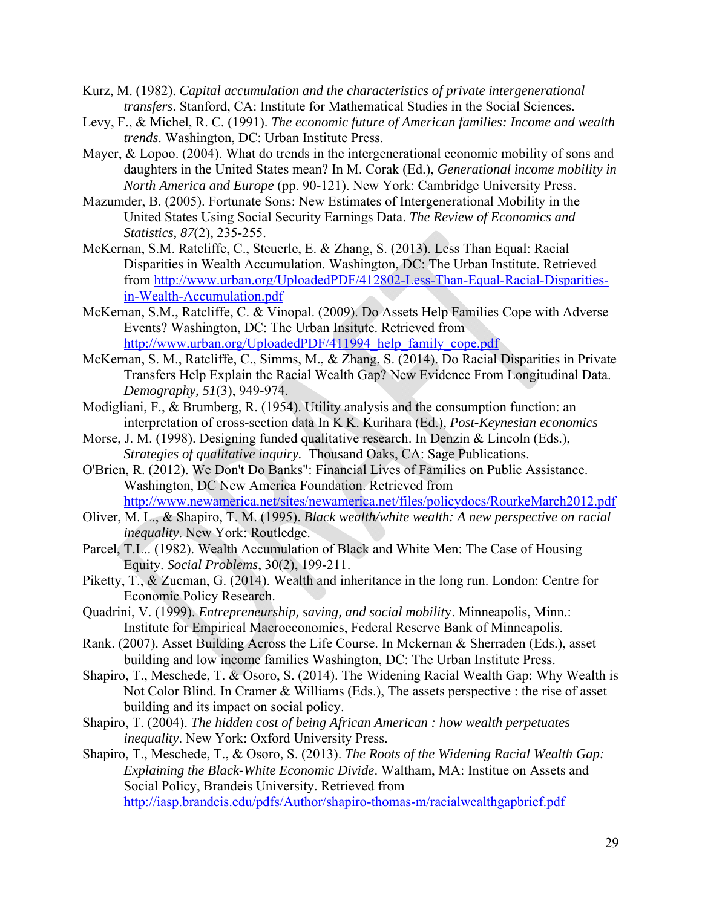- Kurz, M. (1982). *Capital accumulation and the characteristics of private intergenerational transfers*. Stanford, CA: Institute for Mathematical Studies in the Social Sciences.
- Levy, F., & Michel, R. C. (1991). *The economic future of American families: Income and wealth trends*. Washington, DC: Urban Institute Press.
- Mayer, & Lopoo. (2004). What do trends in the intergenerational economic mobility of sons and daughters in the United States mean? In M. Corak (Ed.), *Generational income mobility in North America and Europe* (pp. 90-121). New York: Cambridge University Press.
- Mazumder, B. (2005). Fortunate Sons: New Estimates of Intergenerational Mobility in the United States Using Social Security Earnings Data. *The Review of Economics and Statistics, 87*(2), 235-255.
- McKernan, S.M. Ratcliffe, C., Steuerle, E. & Zhang, S. (2013). Less Than Equal: Racial Disparities in Wealth Accumulation. Washington, DC: The Urban Institute. Retrieved [from http://www.urban.org/UploadedPDF/412802-Less-Than-Equal-Racial-Disparities](http://www.urban.org/UploadedPDF/412802-Less-Than-Equal-Racial-Disparities-in-Wealth-Accumulation.pdf)in-Wealth-Accumulation.pdf
- http://www.urban.org/UploadedPDF/411994 help family cope.pdf McKernan, S.M., Ratcliffe, C. & Vinopal. (2009). Do Assets Help Families Cope with Adverse Events? Washington, DC: The Urban Insitute. Retrieved from
- Transfers Help Explain the Racial Wealth Gap? New Evidence From Longitudinal Data. http://www.urban.org/UploadedPathelpa.org/M., & Zhang, S. (2014). Do Racial Disparities in Private *Demography, 51*(3), 949-974.
- Modigliani, F., & Brumberg, R. (1954). Utility analysis and the consumption function: an interpretation of cross-section data In K K. Kurihara (Ed.), *Post-Keynesian economics*
- Morse, J. M. (1998). Designing funded qualitative research. In Denzin & Lincoln (Eds.), *Strategies of qualitative inquiry.* Thousand Oaks, CA: Sage Publications.
- O'Brien, R. (2012). We Don't Do Banks": Financial Lives of Families on Public Assistance. Washington, DC New America Foundation. Retrieved from <http://www.newamerica.net/sites/newamerica.net/files/policydocs/RourkeMarch2012.pdf>
- Oliver, M. L., & Shapiro, T. M. (1995). *Black wealth/white wealth: A new perspective on racial inequality*. New York: Routledge.
- Parcel, T.L.. (1982). Wealth Accumulation of Black and White Men: The Case of Housing Equity. *Social Problems*, 30(2), 199-211.
- Piketty, T., & Zucman, G. (2014). Wealth and inheritance in the long run. London: Centre for Economic Policy Research.
- Quadrini, V. (1999). *Entrepreneurship, saving, and social mobilit*y. Minneapolis, Minn.: Institute for Empirical Macroeconomics, Federal Reserve Bank of Minneapolis.
- Rank. (2007). Asset Building Across the Life Course. In Mckernan & Sherraden (Eds.), asset building and low income families Washington, DC: The Urban Institute Press.
- Shapiro, T., Meschede, T. & Osoro, S. (2014). The Widening Racial Wealth Gap: Why Wealth is Not Color Blind. In Cramer & Williams (Eds.), The assets perspective : the rise of asset building and its impact on social policy.
- Shapiro, T. (2004). *The hidden cost of being African American : how wealth perpetuates inequality*. New York: Oxford University Press.
- Shapiro, T., Meschede, T., & Osoro, S. (2013). *The Roots of the Widening Racial Wealth Gap: Explaining the Black-White Economic Divide*. Waltham, MA: Institue on Assets and Social Policy, Brandeis University. Retrieved from <http://iasp.brandeis.edu/pdfs/Author/shapiro-thomas-m/racialwealthgapbrief.pdf>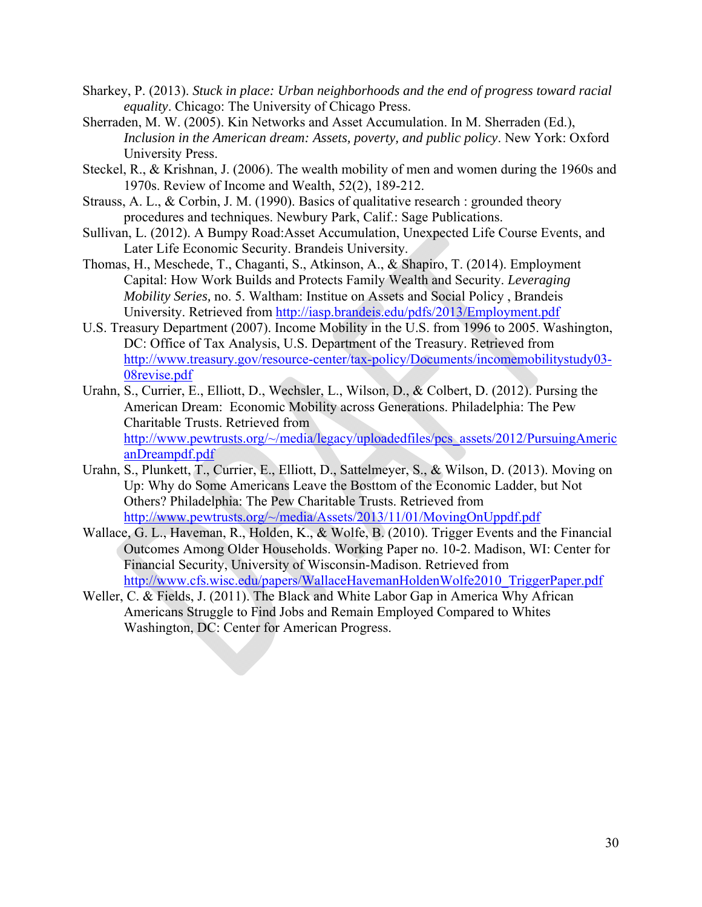- Sharkey, P. (2013). *Stuck in place: Urban neighborhoods and the end of progress toward racial equality*. Chicago: The University of Chicago Press.
- Sherraden, M. W. (2005). Kin Networks and Asset Accumulation. In M. Sherraden (Ed.), *Inclusion in the American dream: Assets, poverty, and public policy*. New York: Oxford University Press.
- Steckel, R., & Krishnan, J. (2006). The wealth mobility of men and women during the 1960s and 1970s. Review of Income and Wealth, 52(2), 189-212.
- Strauss, A. L., & Corbin, J. M. (1990). Basics of qualitative research : grounded theory procedures and techniques. Newbury Park, Calif.: Sage Publications.
- Sullivan, L. (2012). A Bumpy Road:Asset Accumulation, Unexpected Life Course Events, and Later Life Economic Security. Brandeis University.
- Thomas, H., Meschede, T., Chaganti, S., Atkinson, A., & Shapiro, T. (2014). Employment Capital: How Work Builds and Protects Family Wealth and Security. *Leveraging Mobility Series,* no. 5. Waltham: Institue on Assets and Social Policy , Brandeis University. Retrieved from <http://iasp.brandeis.edu/pdfs/2013/Employment.pdf>
- U.S. Treasury Department (2007). Income Mobility in the U.S. from 1996 to 2005. Washington, DC: Office of Tax Analysis, U.S. Department of the Treasury. Retrieved from [http://www.treasury.gov/resource-center/tax-policy/Documents/incomemobilitystudy03-](http://www.treasury.gov/resource-center/tax-policy/Documents/incomemobilitystudy03-08revise.pdf) 08revise.pdf
- anDreampdf.pdf Urahn, S., Currier, E., Elliott, D., Wechsler, L., Wilson, D., & Colbert, D. (2012). Pursing the American Dream: Economic Mobility across Generations. Philadelphia: The Pew Charitable Trusts. Retrieved from http://www.pewtrusts.org/~/media/legacy/uploadedfiles/pcs\_assets/2012/PursuingAmeric
- http://www.pewtrusts.org/~/media/Assets/2013/11/01/MovingOnUppdf.pdf Urahn, S., Plunkett, T., Currier, E., Elliott, D., Sattelmeyer, S., & Wilson, D. (2013). Moving on Up: Why do Some Americans Leave the Bosttom of the Economic Ladder, but Not Others? Philadelphia: The Pew Charitable Trusts. Retrieved from
- Wallace, G. L., Haveman, R., Holden, K., & Wolfe, B. (2010). Trigger Events and the Financial Outcomes Among Older Households. Working Paper no. 10-2. Madison, WI: Center for Financial Security, University of Wisconsin-Madison. Retrieved from http://www.cfs.wisc.edu/papers/WallaceHavemanHoldenWolfe2010\_TriggerPaper.pdf
- Americans Struggle to Find Jobs and Remain Employed Compared to Whites Washington, DC: Center for American Progress. Weller, C. & Fields, J. (2011). The Black and White Labor Gap in America Why African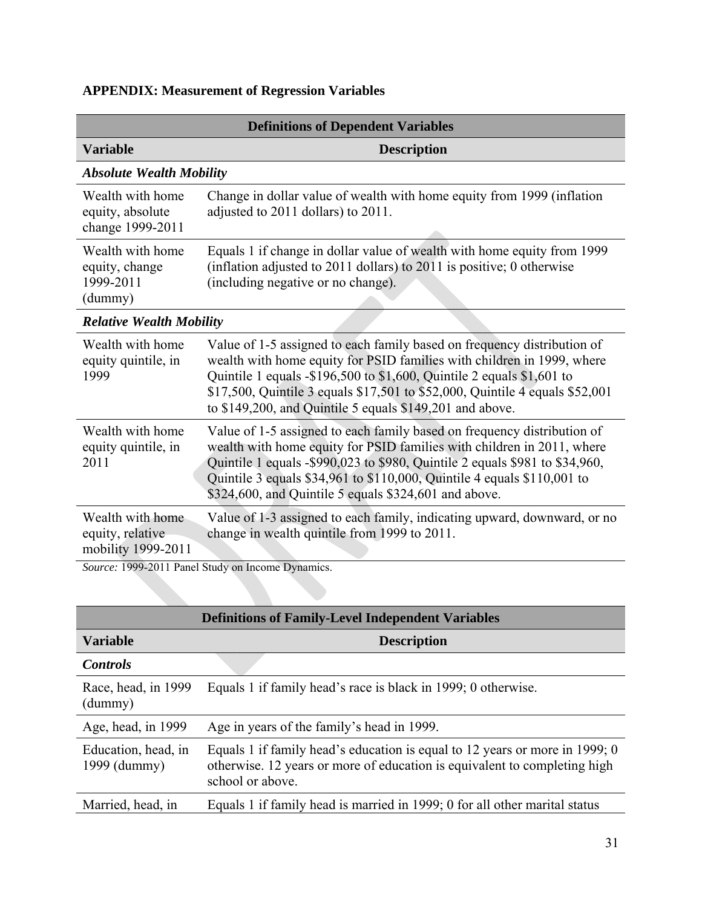# **APPENDIX: Measurement of Regression Variables**

|                                                            | <b>Definitions of Dependent Variables</b>                                                                                                                                                                                                                                                                                                                              |
|------------------------------------------------------------|------------------------------------------------------------------------------------------------------------------------------------------------------------------------------------------------------------------------------------------------------------------------------------------------------------------------------------------------------------------------|
| <b>Variable</b>                                            | <b>Description</b>                                                                                                                                                                                                                                                                                                                                                     |
| <b>Absolute Wealth Mobility</b>                            |                                                                                                                                                                                                                                                                                                                                                                        |
| Wealth with home<br>equity, absolute<br>change 1999-2011   | Change in dollar value of wealth with home equity from 1999 (inflation<br>adjusted to 2011 dollars) to 2011.                                                                                                                                                                                                                                                           |
| Wealth with home<br>equity, change<br>1999-2011<br>(dummy) | Equals 1 if change in dollar value of wealth with home equity from 1999<br>(inflation adjusted to 2011 dollars) to 2011 is positive; 0 otherwise<br>(including negative or no change).                                                                                                                                                                                 |
| <b>Relative Wealth Mobility</b>                            |                                                                                                                                                                                                                                                                                                                                                                        |
| Wealth with home<br>equity quintile, in<br>1999            | Value of 1-5 assigned to each family based on frequency distribution of<br>wealth with home equity for PSID families with children in 1999, where<br>Quintile 1 equals -\$196,500 to \$1,600, Quintile 2 equals \$1,601 to<br>\$17,500, Quintile 3 equals \$17,501 to \$52,000, Quintile 4 equals \$52,001<br>to \$149,200, and Quintile 5 equals \$149,201 and above. |
| Wealth with home<br>equity quintile, in<br>2011            | Value of 1-5 assigned to each family based on frequency distribution of<br>wealth with home equity for PSID families with children in 2011, where<br>Quintile 1 equals - \$990,023 to \$980, Quintile 2 equals \$981 to \$34,960,<br>Quintile 3 equals \$34,961 to \$110,000, Quintile 4 equals \$110,001 to<br>\$324,600, and Quintile 5 equals \$324,601 and above.  |
| Wealth with home<br>equity, relative<br>mobility 1999-2011 | Value of 1-3 assigned to each family, indicating upward, downward, or no<br>change in wealth quintile from 1999 to 2011.<br>$Source(1999.2011$ Panel Study on Income Dynamics                                                                                                                                                                                          |

*Source:* 1999-2011 Panel Study on Income Dynamics.

|                                     | <b>Definitions of Family-Level Independent Variables</b>                                                                                                                     |
|-------------------------------------|------------------------------------------------------------------------------------------------------------------------------------------------------------------------------|
| <b>Variable</b>                     | <b>Description</b>                                                                                                                                                           |
| <b>Controls</b>                     |                                                                                                                                                                              |
| Race, head, in 1999<br>(dummy)      | Equals 1 if family head's race is black in 1999; 0 otherwise.                                                                                                                |
| Age, head, in 1999                  | Age in years of the family's head in 1999.                                                                                                                                   |
| Education, head, in<br>1999 (dummy) | Equals 1 if family head's education is equal to 12 years or more in 1999; 0<br>otherwise. 12 years or more of education is equivalent to completing high<br>school or above. |
| Married, head, in                   | Equals 1 if family head is married in 1999; 0 for all other marital status                                                                                                   |